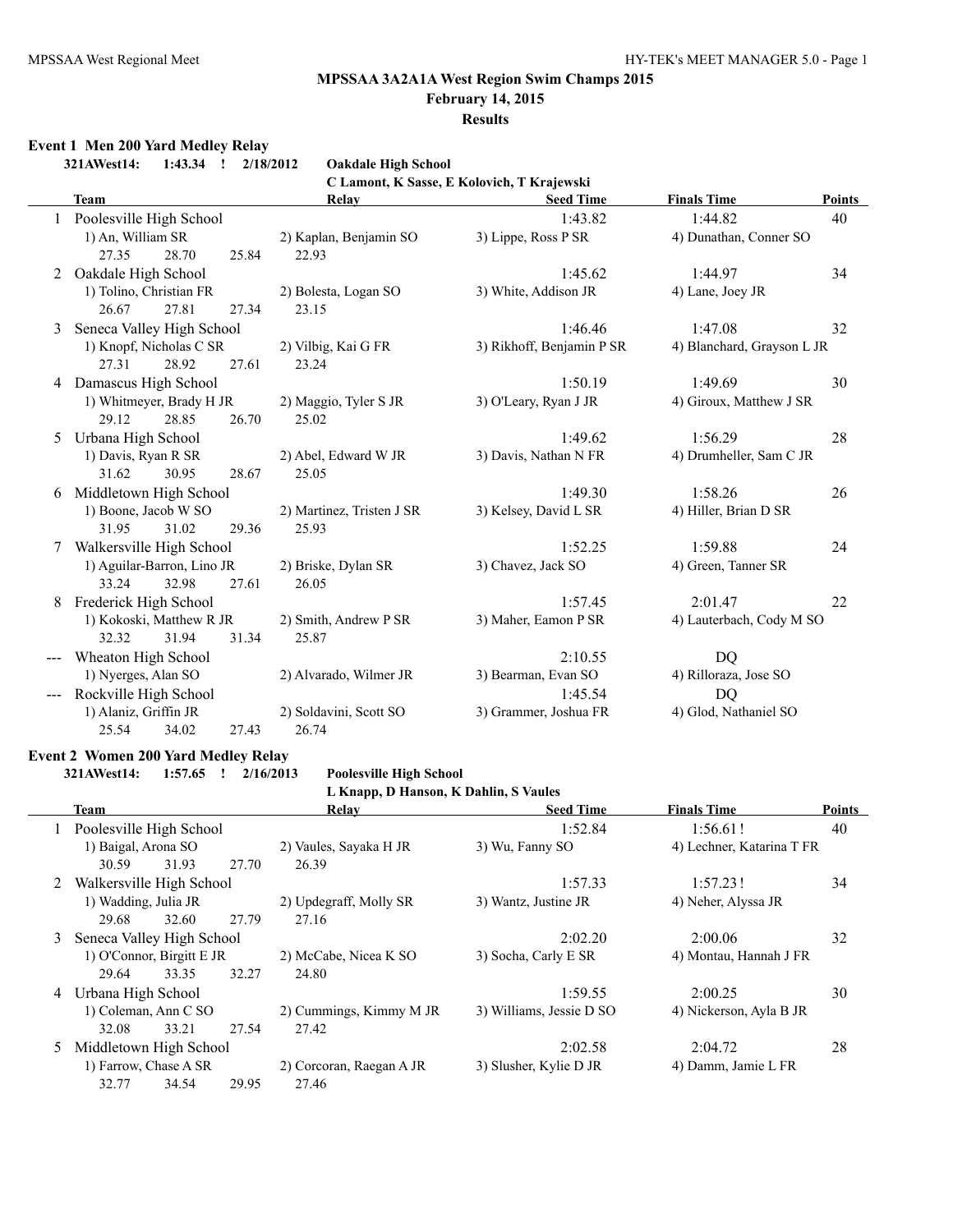## **February 14, 2015**

## **Results**

## **Event 1 Men 200 Yard Medley Relay**

|   | 321AWest14:<br>1:43.34<br>$\cdot$ | 2/18/2012<br><b>Oakdale High School</b> |                                            |                            |               |
|---|-----------------------------------|-----------------------------------------|--------------------------------------------|----------------------------|---------------|
|   |                                   |                                         | C Lamont, K Sasse, E Kolovich, T Krajewski |                            |               |
|   | <b>Team</b>                       | Relay                                   | <b>Seed Time</b>                           | <b>Finals Time</b>         | <b>Points</b> |
|   | 1 Poolesville High School         |                                         | 1:43.82                                    | 1:44.82                    | 40            |
|   | 1) An, William SR                 | 2) Kaplan, Benjamin SO                  | 3) Lippe, Ross P SR                        | 4) Dunathan, Conner SO     |               |
|   | 27.35<br>28.70<br>25.84           | 22.93                                   |                                            |                            |               |
| 2 | Oakdale High School               |                                         | 1:45.62                                    | 1:44.97                    | 34            |
|   | 1) Tolino, Christian FR           | 2) Bolesta, Logan SO                    | 3) White, Addison JR                       | 4) Lane, Joey JR           |               |
|   | 27.81<br>26.67<br>27.34           | 23.15                                   |                                            |                            |               |
| 3 | Seneca Valley High School         |                                         | 1:46.46                                    | 1:47.08                    | 32            |
|   | 1) Knopf, Nicholas C SR           | 2) Vilbig, Kai G FR                     | 3) Rikhoff, Benjamin P SR                  | 4) Blanchard, Grayson L JR |               |
|   | 28.92<br>27.31<br>27.61           | 23.24                                   |                                            |                            |               |
|   | 4 Damascus High School            |                                         | 1:50.19                                    | 1:49.69                    | 30            |
|   | 1) Whitmeyer, Brady H JR          | 2) Maggio, Tyler S JR                   | 3) O'Leary, Ryan J JR                      | 4) Giroux, Matthew J SR    |               |
|   | 29.12<br>28.85<br>26.70           | 25.02                                   |                                            |                            |               |
| 5 | Urbana High School                |                                         | 1:49.62                                    | 1:56.29                    | 28            |
|   | 1) Davis, Ryan R SR               | 2) Abel, Edward W JR                    | 3) Davis, Nathan N FR                      | 4) Drumheller, Sam C JR    |               |
|   | 31.62<br>30.95<br>28.67           | 25.05                                   |                                            |                            |               |
| 6 | Middletown High School            |                                         | 1:49.30                                    | 1:58.26                    | 26            |
|   | 1) Boone, Jacob W SO              | 2) Martinez, Tristen J SR               | 3) Kelsey, David L SR                      | 4) Hiller, Brian D SR      |               |
|   | 31.95<br>31.02<br>29.36           | 25.93                                   |                                            |                            |               |
| 7 | Walkersville High School          |                                         | 1:52.25                                    | 1:59.88                    | 24            |
|   | 1) Aguilar-Barron, Lino JR        | 2) Briske, Dylan SR                     | 3) Chavez, Jack SO                         | 4) Green, Tanner SR        |               |
|   | 33.24<br>32.98<br>27.61           | 26.05                                   |                                            |                            |               |
| 8 | Frederick High School             |                                         | 1:57.45                                    | 2:01.47                    | 22            |
|   | 1) Kokoski, Matthew R JR          | 2) Smith, Andrew P SR                   | 3) Maher, Eamon P SR                       | 4) Lauterbach, Cody M SO   |               |
|   | 32.32<br>31.94<br>31.34           | 25.87                                   |                                            |                            |               |
|   | Wheaton High School               |                                         | 2:10.55                                    | <b>DQ</b>                  |               |
|   | 1) Nyerges, Alan SO               | 2) Alvarado, Wilmer JR                  | 3) Bearman, Evan SO                        | 4) Rilloraza, Jose SO      |               |
|   | Rockville High School             |                                         | 1:45.54                                    | DQ                         |               |
|   | 1) Alaniz, Griffin JR             | 2) Soldavini, Scott SO                  | 3) Grammer, Joshua FR                      | 4) Glod, Nathaniel SO      |               |
|   | 25.54<br>34.02<br>27.43           | 26.74                                   |                                            |                            |               |

#### **Event 2 Women 200 Yard Medley Relay**

**321AWest14: 1:57.65 ! 2/16/2013 Poolesville High School**

**L Knapp, D Hanson, K Dahlin, S Vaules**

|    | Team                        |       |       | Relay                    | <b>Seed Time</b>         | <b>Finals Time</b>        | <b>Points</b> |
|----|-----------------------------|-------|-------|--------------------------|--------------------------|---------------------------|---------------|
| 1  | Poolesville High School     |       |       |                          | 1:52.84                  | 1:56.61!                  | 40            |
|    | 1) Baigal, Arona SO         |       |       | 2) Vaules, Sayaka H JR   | 3) Wu, Fanny SO          | 4) Lechner, Katarina T FR |               |
|    | 30.59                       | 31.93 | 27.70 | 26.39                    |                          |                           |               |
|    | 2 Walkersville High School  |       |       |                          | 1:57.33                  | 1:57.231                  | 34            |
|    | 1) Wadding, Julia JR        |       |       | 2) Updegraff, Molly SR   | 3) Wantz, Justine JR     | 4) Neher, Alyssa JR       |               |
|    | 29.68                       | 32.60 | 27.79 | 27.16                    |                          |                           |               |
|    | 3 Seneca Valley High School |       |       |                          | 2:02.20                  | 2:00.06                   | 32            |
|    | 1) O'Connor, Birgitt E JR   |       |       | 2) McCabe, Nicea K SO    | 3) Socha, Carly E SR     | 4) Montau, Hannah J FR    |               |
|    | 29.64                       | 33.35 | 32.27 | 24.80                    |                          |                           |               |
| 4  | Urbana High School          |       |       |                          | 1:59.55                  | 2:00.25                   | 30            |
|    | 1) Coleman, Ann C SO        |       |       | 2) Cummings, Kimmy M JR  | 3) Williams, Jessie D SO | 4) Nickerson, Ayla B JR   |               |
|    | 32.08                       | 33.21 | 27.54 | 27.42                    |                          |                           |               |
| 5. | Middletown High School      |       |       | 2:02.58                  | 2:04.72                  | 28                        |               |
|    | 1) Farrow, Chase A SR       |       |       | 2) Corcoran, Raegan A JR | 3) Slusher, Kylie D JR   | 4) Damm, Jamie L FR       |               |
|    | 32.77                       | 34.54 | 29.95 | 27.46                    |                          |                           |               |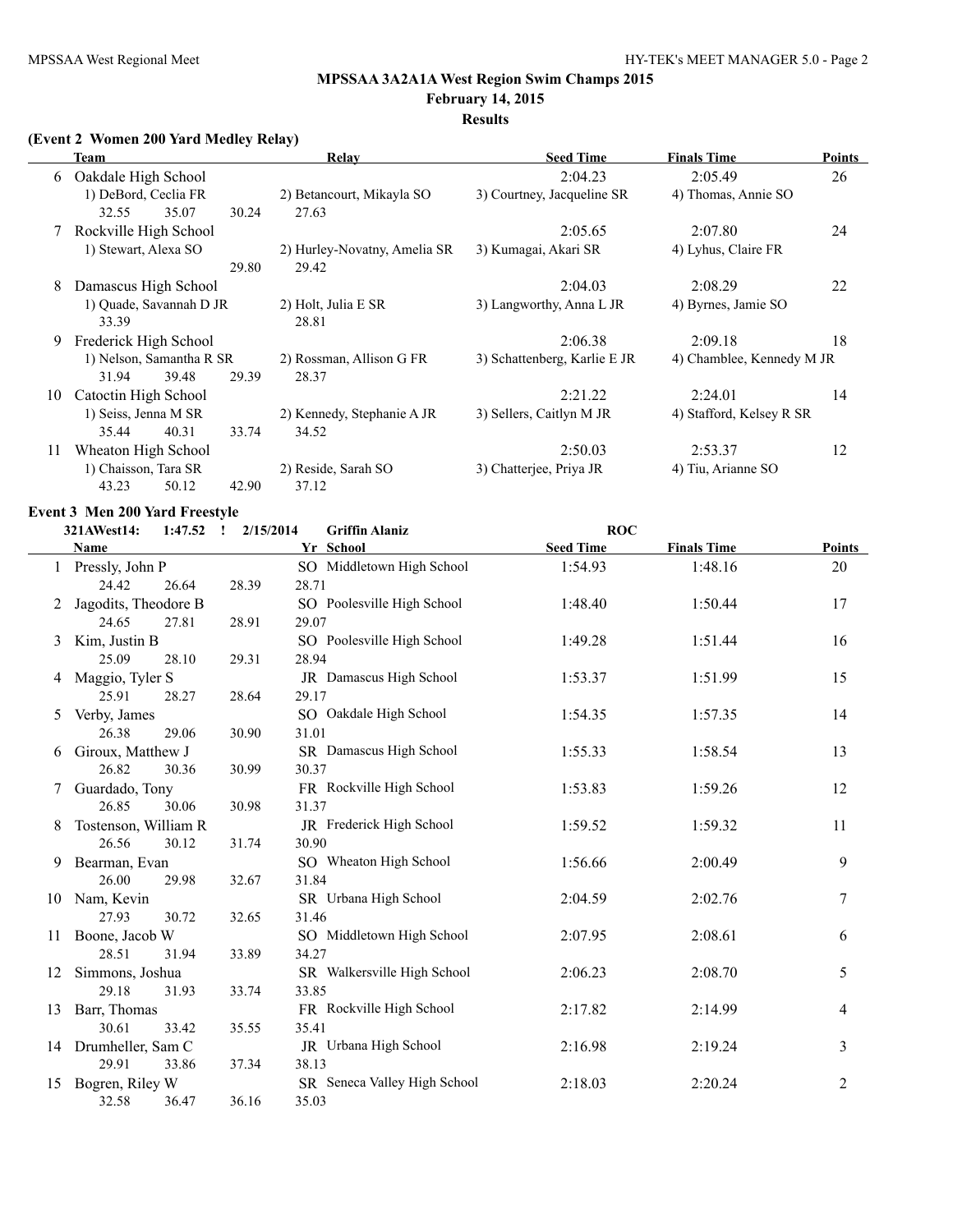#### **February 14, 2015 Results**

## **(Event 2 Women 200 Yard Medley Relay)**

|    | Team                                   |       | Relay                                 | <b>Seed Time</b>             | <b>Finals Time</b>        | <b>Points</b> |
|----|----------------------------------------|-------|---------------------------------------|------------------------------|---------------------------|---------------|
| 6  | Oakdale High School                    |       |                                       | 2:04.23                      | 2:05.49                   | 26            |
|    | 1) DeBord, Ceclia FR<br>32.55<br>35.07 | 30.24 | 2) Betancourt, Mikayla SO<br>27.63    | 3) Courtney, Jacqueline SR   | 4) Thomas, Annie SO       |               |
|    | 7 Rockville High School                |       |                                       | 2:05.65                      | 2:07.80                   | 24            |
|    | 1) Stewart, Alexa SO                   | 29.80 | 2) Hurley-Novatny, Amelia SR<br>29.42 | 3) Kumagai, Akari SR         | 4) Lyhus, Claire FR       |               |
| 8  | Damascus High School                   |       |                                       | 2:04.03                      | 2:08.29                   | 22            |
|    | 1) Quade, Savannah D JR<br>33.39       |       | 2) Holt, Julia E SR<br>28.81          | 3) Langworthy, Anna L JR     | 4) Byrnes, Jamie SO       |               |
| 9  | Frederick High School                  |       |                                       | 2:06.38                      | 2:09.18                   | 18            |
|    | 1) Nelson, Samantha R SR               |       | 2) Rossman, Allison G FR              | 3) Schattenberg, Karlie E JR | 4) Chamblee, Kennedy M JR |               |
|    | 31.94<br>39.48                         | 29.39 | 28.37                                 |                              |                           |               |
| 10 | Catoctin High School                   |       |                                       | 2:21.22                      | 2:24.01                   | 14            |
|    | 1) Seiss, Jenna M SR                   |       | 2) Kennedy, Stephanie A JR            | 3) Sellers, Caitlyn M JR     | 4) Stafford, Kelsey R SR  |               |
|    | 35.44<br>40.31                         | 33.74 | 34.52                                 |                              |                           |               |
| 11 | Wheaton High School                    |       |                                       | 2:50.03                      | 2:53.37                   | 12            |
|    | 1) Chaisson, Tara SR                   |       | 2) Reside, Sarah SO                   | 3) Chatterjee, Priya JR      | 4) Tiu, Arianne SO        |               |
|    | 43.23<br>50.12                         | 42.90 | 37.12                                 |                              |                           |               |

## **Event 3 Men 200 Yard Freestyle**

#### **321AWest14: 1:47.52 ! 2/15/2014 Griffin Alaniz ROC**

|    | <b>Name</b>          |       | Yr School                    | <b>Seed Time</b> | <b>Finals Time</b> | <b>Points</b>    |
|----|----------------------|-------|------------------------------|------------------|--------------------|------------------|
|    | Pressly, John P      |       | SO Middletown High School    | 1:54.93          | 1:48.16            | 20               |
|    | 24.42<br>26.64       | 28.39 | 28.71                        |                  |                    |                  |
|    | Jagodits, Theodore B |       | SO Poolesville High School   | 1:48.40          | 1:50.44            | 17               |
|    | 24.65<br>27.81       | 28.91 | 29.07                        |                  |                    |                  |
| 3  | Kim, Justin B        |       | SO Poolesville High School   | 1:49.28          | 1:51.44            | 16               |
|    | 25.09<br>28.10       | 29.31 | 28.94                        |                  |                    |                  |
| 4  | Maggio, Tyler S      |       | JR Damascus High School      | 1:53.37          | 1:51.99            | 15               |
|    | 28.27<br>25.91       | 28.64 | 29.17                        |                  |                    |                  |
| 5  | Verby, James         |       | SO Oakdale High School       | 1:54.35          | 1:57.35            | 14               |
|    | 26.38<br>29.06       | 30.90 | 31.01                        |                  |                    |                  |
| 6  | Giroux, Matthew J    |       | SR Damascus High School      | 1:55.33          | 1:58.54            | 13               |
|    | 26.82<br>30.36       | 30.99 | 30.37                        |                  |                    |                  |
|    | Guardado, Tony       |       | FR Rockville High School     | 1:53.83          | 1:59.26            | 12               |
|    | 26.85<br>30.06       | 30.98 | 31.37                        |                  |                    |                  |
| 8  | Tostenson, William R |       | JR Frederick High School     | 1:59.52          | 1:59.32            | 11               |
|    | 26.56<br>30.12       | 31.74 | 30.90                        |                  |                    |                  |
| 9  | Bearman, Evan        |       | SO Wheaton High School       | 1:56.66          | 2:00.49            | 9                |
|    | 26.00<br>29.98       | 32.67 | 31.84                        |                  |                    |                  |
| 10 | Nam, Kevin           |       | SR Urbana High School        | 2:04.59          | 2:02.76            | $\boldsymbol{7}$ |
|    | 27.93<br>30.72       | 32.65 | 31.46                        |                  |                    |                  |
| 11 | Boone, Jacob W       |       | SO Middletown High School    | 2:07.95          | 2:08.61            | 6                |
|    | 28.51<br>31.94       | 33.89 | 34.27                        |                  |                    |                  |
| 12 | Simmons, Joshua      |       | SR Walkersville High School  | 2:06.23          | 2:08.70            | 5                |
|    | 29.18<br>31.93       | 33.74 | 33.85                        |                  |                    |                  |
| 13 | Barr, Thomas         |       | FR Rockville High School     | 2:17.82          | 2:14.99            | 4                |
|    | 30.61<br>33.42       | 35.55 | 35.41                        |                  |                    |                  |
|    | 14 Drumheller, Sam C |       | JR Urbana High School        | 2:16.98          | 2:19.24            | 3                |
|    | 29.91<br>33.86       | 37.34 | 38.13                        |                  |                    |                  |
| 15 | Bogren, Riley W      |       | SR Seneca Valley High School | 2:18.03          | 2:20.24            | 2                |
|    | 32.58<br>36.47       | 36.16 | 35.03                        |                  |                    |                  |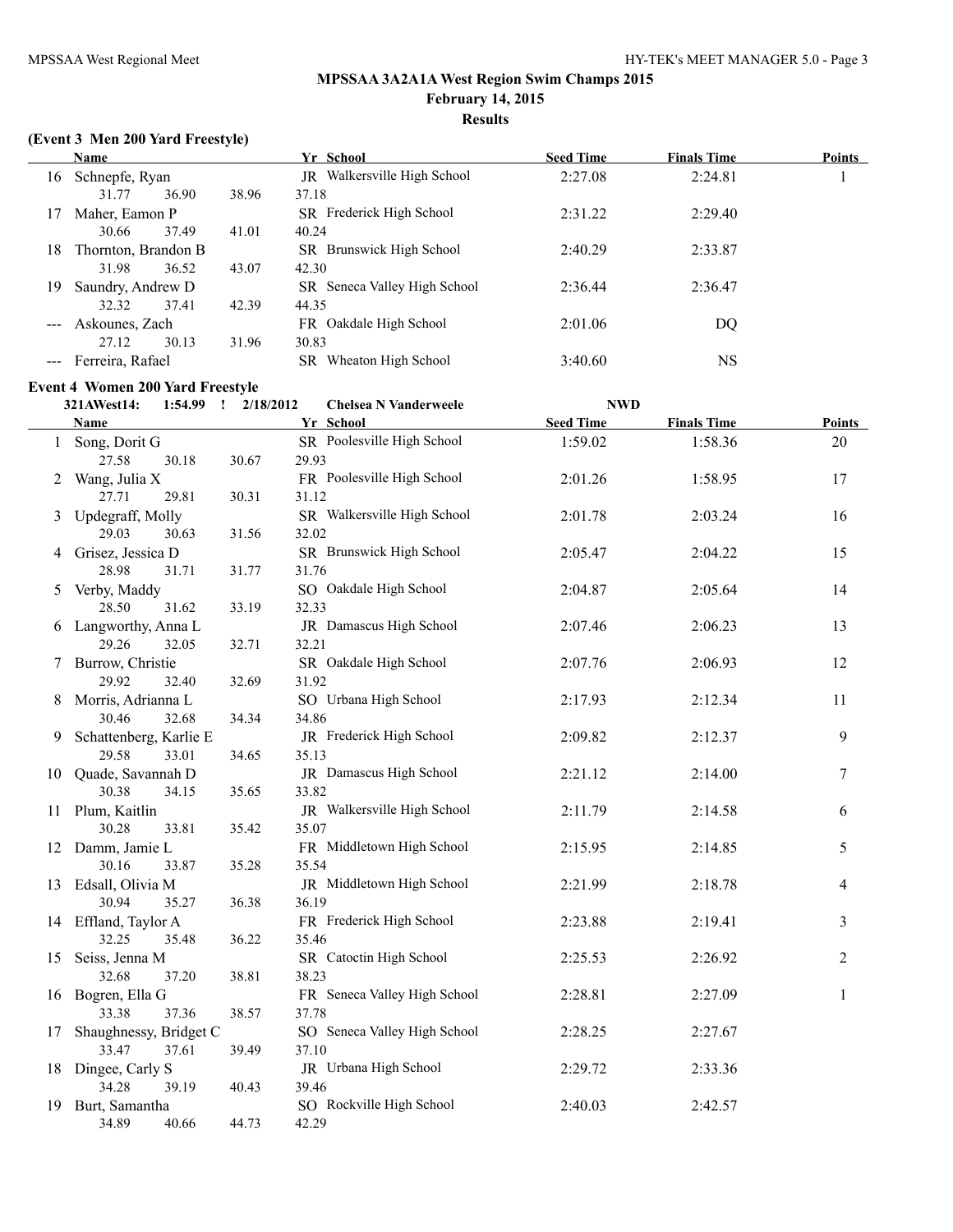## **Results**

## **(Event 3 Men 200 Yard Freestyle)**

|     | Name                |       | Yr School                    | <b>Seed Time</b> | <b>Finals Time</b> | <b>Points</b> |
|-----|---------------------|-------|------------------------------|------------------|--------------------|---------------|
| 16  | Schnepfe, Ryan      |       | JR Walkersville High School  | 2:27.08          | 2:24.81            |               |
|     | 31.77<br>36.90      | 38.96 | 37.18                        |                  |                    |               |
|     | Maher, Eamon P      |       | SR Frederick High School     | 2:31.22          | 2:29.40            |               |
|     | 37.49<br>30.66      | 41.01 | 40.24                        |                  |                    |               |
| 18  | Thornton, Brandon B |       | SR Brunswick High School     | 2:40.29          | 2:33.87            |               |
|     | 31.98<br>36.52      | 43.07 | 42.30                        |                  |                    |               |
| 19. | Saundry, Andrew D   |       | SR Seneca Valley High School | 2:36.44          | 2:36.47            |               |
|     | 32.32<br>37.41      | 42.39 | 44.35                        |                  |                    |               |
|     | Askounes, Zach      |       | FR Oakdale High School       | 2:01.06          | DQ                 |               |
|     | 30.13<br>27.12      | 31.96 | 30.83                        |                  |                    |               |
|     | Ferreira, Rafael    |       | Wheaton High School<br>SR    | 3:40.60          | <b>NS</b>          |               |

## **Event 4 Women 200 Yard Freestyle**

|    | 321AWest14:                | $1:54.99$ ! | 2/18/2012 | <b>Chelsea N Vanderweele</b>      | <b>NWD</b>       |                    |              |
|----|----------------------------|-------------|-----------|-----------------------------------|------------------|--------------------|--------------|
|    | Name                       |             |           | Yr School                         | <b>Seed Time</b> | <b>Finals Time</b> | Points       |
|    | 1 Song, Dorit G            |             |           | SR Poolesville High School        | 1:59.02          | 1:58.36            | 20           |
|    | 27.58                      | 30.18       | 30.67     | 29.93                             |                  |                    |              |
|    | 2 Wang, Julia X            |             |           | FR Poolesville High School        | 2:01.26          | 1:58.95            | 17           |
|    | 27.71                      | 29.81       | 30.31     | 31.12                             |                  |                    |              |
| 3  | Updegraff, Molly           |             |           | SR Walkersville High School       | 2:01.78          | 2:03.24            | 16           |
|    | 29.03                      | 30.63       | 31.56     | 32.02                             |                  |                    |              |
|    | 4 Grisez, Jessica D        |             |           | SR Brunswick High School          | 2:05.47          | 2:04.22            | 15           |
|    | 28.98                      | 31.71       | 31.77     | 31.76                             |                  |                    |              |
|    | 5 Verby, Maddy             |             |           | SO Oakdale High School            | 2:04.87          | 2:05.64            | 14           |
|    | 28.50                      | 31.62       | 33.19     | 32.33                             |                  |                    |              |
|    | 6 Langworthy, Anna L       |             |           | JR Damascus High School           | 2:07.46          | 2:06.23            | 13           |
|    | 29.26                      | 32.05       | 32.71     | 32.21                             |                  |                    |              |
| 7  | Burrow, Christie           |             |           | SR Oakdale High School            | 2:07.76          | 2:06.93            | 12           |
|    | 29.92                      | 32.40       | 32.69     | 31.92                             |                  |                    |              |
| 8  | Morris, Adrianna L         |             |           | SO Urbana High School             | 2:17.93          | 2:12.34            | 11           |
|    | 30.46                      | 32.68       | 34.34     | 34.86                             |                  |                    |              |
|    | 9 Schattenberg, Karlie E   |             |           | JR Frederick High School          | 2:09.82          | 2:12.37            | 9            |
|    | 29.58                      | 33.01       | 34.65     | 35.13                             |                  |                    |              |
|    | 10 Quade, Savannah D       |             |           | JR Damascus High School           | 2:21.12          | 2:14.00            | 7            |
|    | 30.38                      | 34.15       | 35.65     | 33.82                             |                  |                    |              |
|    | 11 Plum, Kaitlin           |             |           | JR Walkersville High School       | 2:11.79          | 2:14.58            | 6            |
|    | 30.28                      | 33.81       | 35.42     | 35.07                             |                  |                    |              |
|    | 12 Damm, Jamie L           |             |           | FR Middletown High School         | 2:15.95          | 2:14.85            | 5            |
|    | 30.16                      | 33.87       | 35.28     | 35.54                             |                  |                    |              |
|    | 13 Edsall, Olivia M        |             |           | JR Middletown High School         | 2:21.99          | 2:18.78            | 4            |
|    | 30.94                      | 35.27       | 36.38     | 36.19                             |                  |                    |              |
|    | 14 Effland, Taylor A       |             |           | FR Frederick High School          | 2:23.88          | 2:19.41            | 3            |
|    | 32.25                      | 35.48       | 36.22     | 35.46                             |                  |                    |              |
| 15 | Seiss, Jenna M             |             |           | SR Catoctin High School           | 2:25.53          | 2:26.92            | 2            |
|    | 32.68                      | 37.20       | 38.81     | 38.23                             |                  |                    |              |
| 16 | Bogren, Ella G             |             |           | FR Seneca Valley High School      | 2:28.81          | 2:27.09            | $\mathbf{1}$ |
|    | 33.38                      | 37.36       | 38.57     | 37.78                             |                  |                    |              |
| 17 | Shaughnessy, Bridget C     |             |           | SO Seneca Valley High School      | 2:28.25          | 2:27.67            |              |
|    | 33.47                      | 37.61       | 39.49     | 37.10                             |                  |                    |              |
|    | 18 Dingee, Carly S         |             |           | JR Urbana High School             | 2:29.72          | 2:33.36            |              |
|    | 34.28                      | 39.19       | 40.43     | 39.46<br>SO Rockville High School |                  |                    |              |
|    | 19 Burt, Samantha<br>34.89 | 40.66       | 44.73     | 42.29                             | 2:40.03          | 2:42.57            |              |
|    |                            |             |           |                                   |                  |                    |              |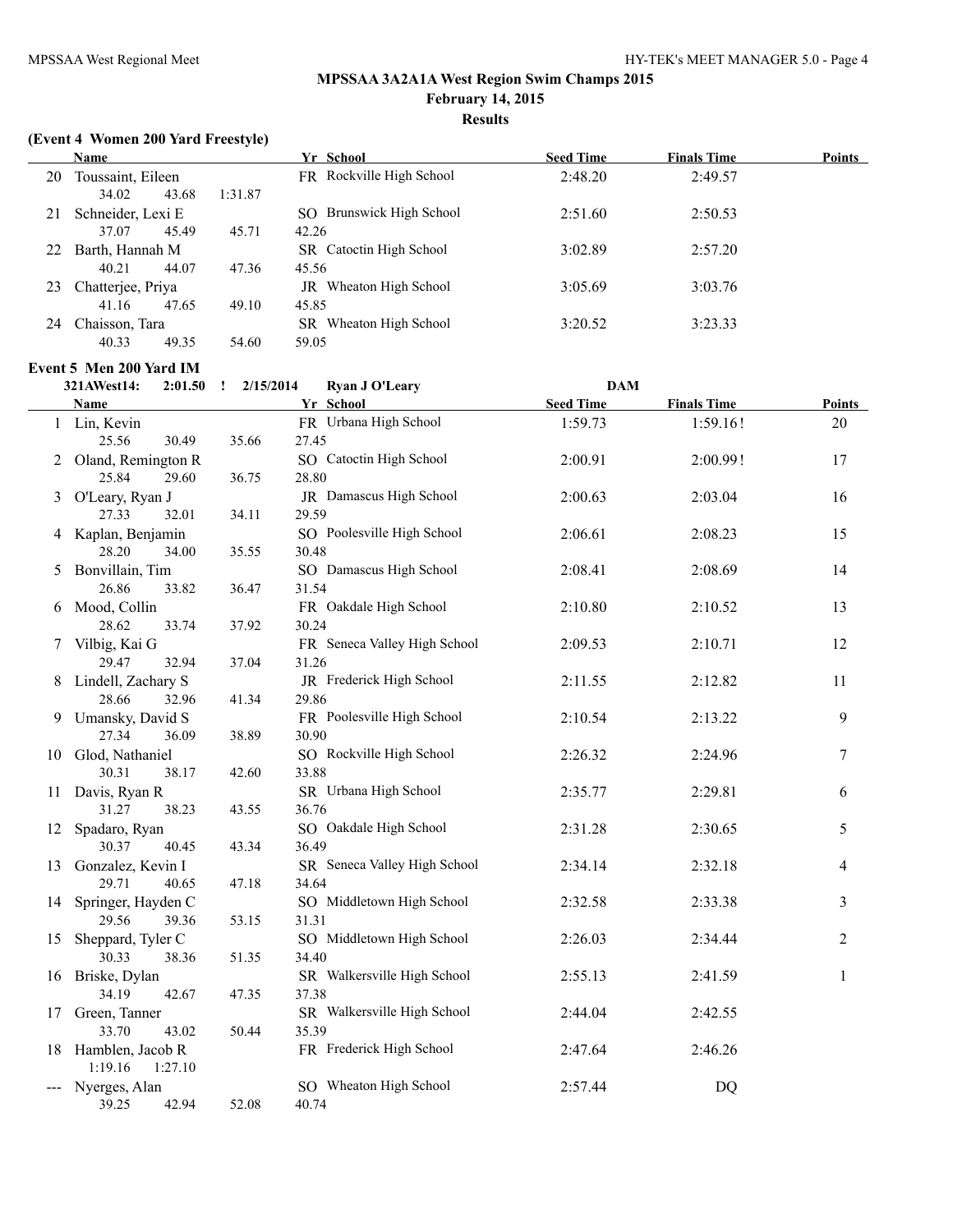# **Results**

## **(Event 4 Women 200 Yard Freestyle)**

|    | <b>Name</b>             |         | Yr School                | <b>Seed Time</b> | <b>Finals Time</b> | <b>Points</b> |
|----|-------------------------|---------|--------------------------|------------------|--------------------|---------------|
| 20 | Toussaint, Eileen       |         | FR Rockville High School | 2:48.20          | 2:49.57            |               |
|    | 34.02<br>43.68          | 1:31.87 |                          |                  |                    |               |
| 21 | Schneider, Lexi E       |         | SO Brunswick High School | 2:51.60          | 2:50.53            |               |
|    | 37.07<br>45.49          | 45.71   | 42.26                    |                  |                    |               |
| 22 | Barth, Hannah M         |         | SR Catoctin High School  | 3:02.89          | 2:57.20            |               |
|    | 44.07<br>40.21          | 47.36   | 45.56                    |                  |                    |               |
| 23 | Chatterjee, Priya       |         | JR Wheaton High School   | 3:05.69          | 3:03.76            |               |
|    | 47.65<br>41.16          | 49.10   | 45.85                    |                  |                    |               |
| 24 | Chaisson, Tara          |         | SR Wheaton High School   | 3:20.52          | 3:23.33            |               |
|    | 49.35<br>40.33          | 54.60   | 59.05                    |                  |                    |               |
|    | Event 5 Men 200 Yard IM |         |                          |                  |                    |               |

|    | 321AWest14:<br>$2:01.50$ !           | 2/15/2014 | <b>Ryan J O'Leary</b>             | <b>DAM</b>       |                    |                |
|----|--------------------------------------|-----------|-----------------------------------|------------------|--------------------|----------------|
|    | Name                                 |           | Yr School                         | <b>Seed Time</b> | <b>Finals Time</b> | Points         |
|    | 1 Lin, Kevin                         |           | FR Urbana High School             | 1:59.73          | 1:59.16!           | 20             |
|    | 30.49<br>25.56                       | 35.66     | 27.45                             |                  |                    |                |
|    | 2 Oland, Remington R                 |           | SO Catoctin High School           | 2:00.91          | 2:00.99!           | 17             |
|    | 25.84<br>29.60                       | 36.75     | 28.80                             |                  |                    |                |
|    | 3 O'Leary, Ryan J                    |           | JR Damascus High School           | 2:00.63          | 2:03.04            | 16             |
|    | 27.33<br>32.01                       | 34.11     | 29.59                             |                  |                    |                |
|    | 4 Kaplan, Benjamin                   |           | SO Poolesville High School        | 2:06.61          | 2:08.23            | 15             |
|    | 28.20<br>34.00                       | 35.55     | 30.48                             |                  |                    |                |
| 5. | Bonvillain, Tim                      |           | SO Damascus High School           | 2:08.41          | 2:08.69            | 14             |
|    | 26.86<br>33.82                       | 36.47     | 31.54                             |                  |                    |                |
| 6. | Mood, Collin                         |           | FR Oakdale High School            | 2:10.80          | 2:10.52            | 13             |
|    | 28.62<br>33.74                       | 37.92     | 30.24                             |                  |                    |                |
|    | 7 Vilbig, Kai G                      |           | FR Seneca Valley High School      | 2:09.53          | 2:10.71            | 12             |
|    | 29.47<br>32.94                       | 37.04     | 31.26                             |                  |                    |                |
| 8. | Lindell, Zachary S                   |           | JR Frederick High School          | 2:11.55          | 2:12.82            | 11             |
|    | 28.66<br>32.96                       | 41.34     | 29.86                             |                  |                    |                |
|    | 9 Umansky, David S                   |           | FR Poolesville High School        | 2:10.54          | 2:13.22            | 9              |
|    | 36.09<br>27.34                       | 38.89     | 30.90                             |                  |                    |                |
|    | 10 Glod, Nathaniel<br>30.31<br>38.17 | 42.60     | SO Rockville High School<br>33.88 | 2:26.32          | 2:24.96            | 7              |
|    | 11 Davis, Ryan R                     |           | SR Urbana High School             | 2:35.77          | 2:29.81            |                |
|    | 31.27<br>38.23                       | 43.55     | 36.76                             |                  |                    | 6              |
| 12 | Spadaro, Ryan                        |           | SO Oakdale High School            | 2:31.28          | 2:30.65            | 5              |
|    | 30.37<br>40.45                       | 43.34     | 36.49                             |                  |                    |                |
| 13 | Gonzalez, Kevin I                    |           | SR Seneca Valley High School      | 2:34.14          | 2:32.18            | 4              |
|    | 29.71<br>40.65                       | 47.18     | 34.64                             |                  |                    |                |
|    | 14 Springer, Hayden C                |           | SO Middletown High School         | 2:32.58          | 2:33.38            | 3              |
|    | 29.56<br>39.36                       | 53.15     | 31.31                             |                  |                    |                |
| 15 | Sheppard, Tyler C                    |           | SO Middletown High School         | 2:26.03          | 2:34.44            | $\overline{2}$ |
|    | 30.33<br>38.36                       | 51.35     | 34.40                             |                  |                    |                |
|    | 16 Briske, Dylan                     |           | SR Walkersville High School       | 2:55.13          | 2:41.59            | 1              |
|    | 34.19<br>42.67                       | 47.35     | 37.38                             |                  |                    |                |
|    | 17 Green, Tanner                     |           | SR Walkersville High School       | 2:44.04          | 2:42.55            |                |
|    | 33.70<br>43.02                       | 50.44     | 35.39                             |                  |                    |                |
|    | 18 Hamblen, Jacob R                  |           | FR Frederick High School          | 2:47.64          | 2:46.26            |                |
|    | 1:19.16<br>1:27.10                   |           |                                   |                  |                    |                |
|    | Nyerges, Alan                        |           | SO Wheaton High School            | 2:57.44          | DQ                 |                |
|    | 39.25<br>42.94                       | 52.08     | 40.74                             |                  |                    |                |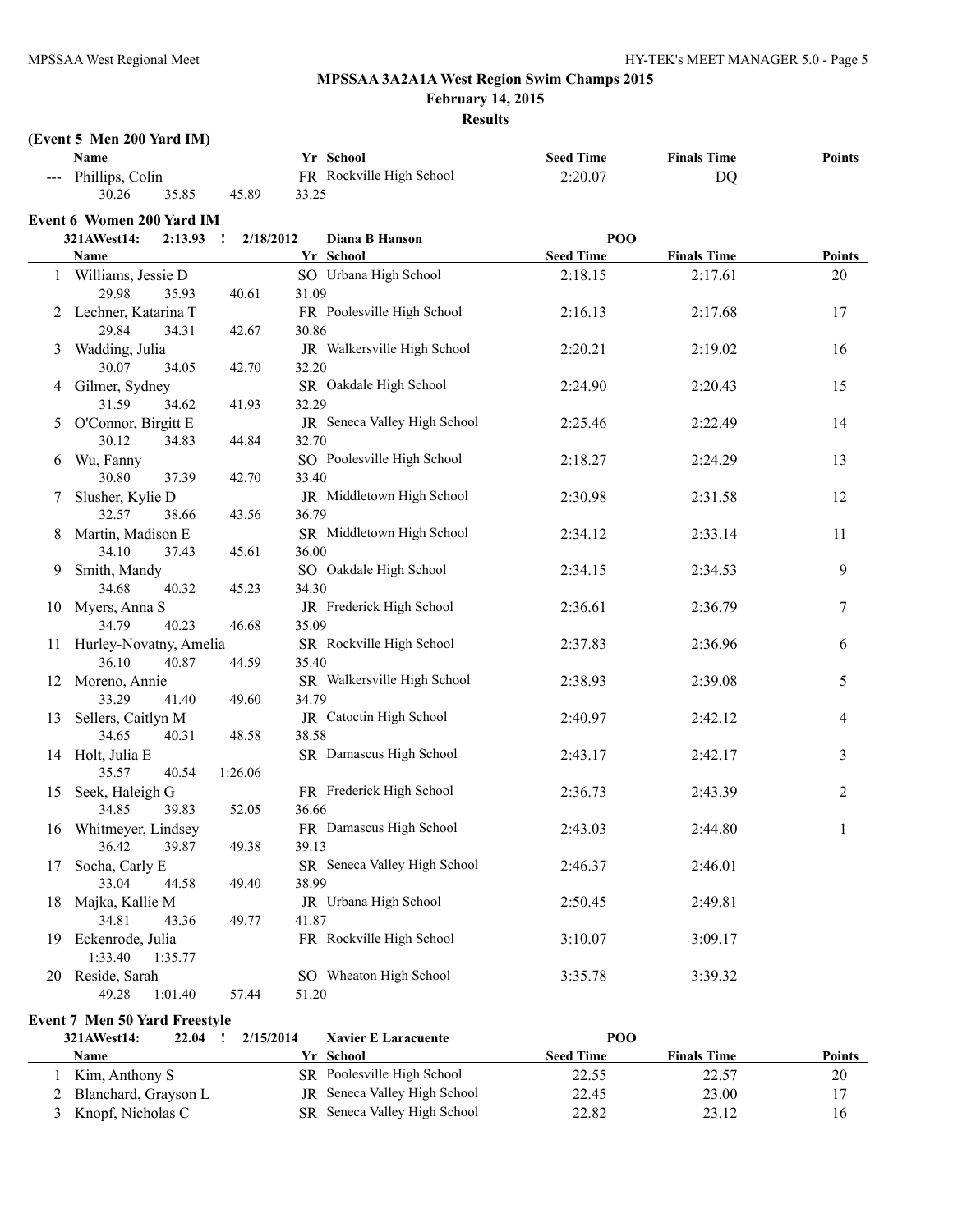**February 14, 2015**

#### **Results**

# **(Event 5 Men 200 Yard IM)**

|    | <b>Name</b>                      |                           | Yr School                    | <b>Seed Time</b> | <b>Finals Time</b> | Points        |
|----|----------------------------------|---------------------------|------------------------------|------------------|--------------------|---------------|
|    | --- Phillips, Colin              |                           | FR Rockville High School     | 2:20.07          | <b>DQ</b>          |               |
|    | 30.26<br>35.85                   | 45.89                     | 33.25                        |                  |                    |               |
|    | <b>Event 6 Women 200 Yard IM</b> |                           |                              |                  |                    |               |
|    | 321AWest14:<br>2:13.93           | 2/18/2012<br>$\mathbf{I}$ | Diana B Hanson               | POO              |                    |               |
|    | <b>Name</b>                      |                           | Yr School                    | <b>Seed Time</b> | <b>Finals Time</b> | <b>Points</b> |
|    | 1 Williams, Jessie D             |                           | SO Urbana High School        | 2:18.15          | 2:17.61            | 20            |
|    | 29.98<br>35.93                   | 40.61                     | 31.09                        |                  |                    |               |
|    | 2 Lechner, Katarina T            |                           | FR Poolesville High School   | 2:16.13          | 2:17.68            | 17            |
|    | 29.84<br>34.31                   | 42.67                     | 30.86                        |                  |                    |               |
| 3  | Wadding, Julia                   |                           | JR Walkersville High School  | 2:20.21          | 2:19.02            | 16            |
|    | 30.07<br>34.05                   | 42.70                     | 32.20                        |                  |                    |               |
| 4  | Gilmer, Sydney                   |                           | SR Oakdale High School       | 2:24.90          | 2:20.43            | 15            |
|    | 31.59<br>34.62                   | 41.93                     | 32.29                        |                  |                    |               |
| 5  | O'Connor, Birgitt E              |                           | JR Seneca Valley High School | 2:25.46          | 2:22.49            | 14            |
|    | 30.12<br>34.83                   | 44.84                     | 32.70                        |                  |                    |               |
| 6  | Wu, Fanny                        |                           | SO Poolesville High School   | 2:18.27          | 2:24.29            | 13            |
|    | 30.80<br>37.39                   | 42.70                     | 33.40                        |                  |                    |               |
| 7  | Slusher, Kylie D                 |                           | JR Middletown High School    | 2:30.98          | 2:31.58            | 12            |
|    | 32.57<br>38.66                   | 43.56                     | 36.79                        |                  |                    |               |
| 8  | Martin, Madison E                |                           | SR Middletown High School    | 2:34.12          | 2:33.14            | 11            |
|    | 34.10<br>37.43                   | 45.61                     | 36.00                        |                  |                    |               |
| 9. | Smith, Mandy                     |                           | SO Oakdale High School       | 2:34.15          | 2:34.53            | 9             |
|    | 34.68<br>40.32                   | 45.23                     | 34.30                        |                  |                    |               |
| 10 | Myers, Anna S                    |                           | JR Frederick High School     | 2:36.61          | 2:36.79            | 7             |
|    | 34.79<br>40.23                   | 46.68                     | 35.09                        |                  |                    |               |
|    | 11 Hurley-Novatny, Amelia        |                           | SR Rockville High School     | 2:37.83          | 2:36.96            | 6             |
|    | 36.10<br>40.87                   | 44.59                     | 35.40                        |                  |                    |               |
|    | 12 Moreno, Annie                 |                           | SR Walkersville High School  | 2:38.93          | 2:39.08            | 5             |
|    | 33.29<br>41.40                   | 49.60                     | 34.79                        |                  |                    |               |
|    | 13 Sellers, Caitlyn M            |                           | JR Catoctin High School      | 2:40.97          | 2:42.12            | 4             |
|    | 34.65<br>40.31                   | 48.58                     | 38.58                        |                  |                    |               |
|    | 14 Holt, Julia E                 |                           | SR Damascus High School      | 2:43.17          | 2:42.17            | 3             |
|    | 35.57<br>40.54                   | 1:26.06                   |                              |                  |                    |               |
|    | 15 Seek, Haleigh G               |                           | FR Frederick High School     | 2:36.73          | 2:43.39            | 2             |
|    | 34.85<br>39.83                   | 52.05                     | 36.66                        |                  |                    |               |
|    | 16 Whitmeyer, Lindsey            |                           | FR Damascus High School      | 2:43.03          | 2:44.80            | 1             |
|    | 39.87<br>36.42                   | 49.38                     | 39.13                        |                  |                    |               |
| 17 | Socha, Carly E                   |                           | SR Seneca Valley High School | 2:46.37          | 2:46.01            |               |
|    | 33.04<br>44.58                   | 49.40                     | 38.99                        |                  |                    |               |
|    | 18 Majka, Kallie M               |                           | JR Urbana High School        | 2:50.45          | 2:49.81            |               |
|    | 34.81<br>43.36                   | 49.77                     | 41.87                        |                  |                    |               |
|    | 19 Eckenrode, Julia              |                           | FR Rockville High School     | 3:10.07          | 3:09.17            |               |
|    | 1:33.40<br>1:35.77               |                           |                              |                  |                    |               |
|    | 20 Reside, Sarah                 |                           | SO Wheaton High School       | 3:35.78          | 3:39.32            |               |
|    | 49.28<br>1:01.40                 | 57.44                     | 51.20                        |                  |                    |               |

**Event 7 Men 50 Yard Freestyle**

| 321AWest14:            | 22.04 | 2/15/2014 | <b>Xavier E Laracuente</b>          | POO              |                    |               |
|------------------------|-------|-----------|-------------------------------------|------------------|--------------------|---------------|
| Name                   |       |           | Yr School                           | <b>Seed Time</b> | <b>Finals Time</b> | <b>Points</b> |
| Kim, Anthony S         |       |           | SR Poolesville High School          | 22.55            | 22.57              | 20            |
| 2 Blanchard, Grayson L |       |           | <b>JR</b> Seneca Valley High School | 22.45            | 23.00              | 17            |
| 3 Knopf, Nicholas C    |       |           | SR Seneca Valley High School        | 22.82            | 23.12              | 16            |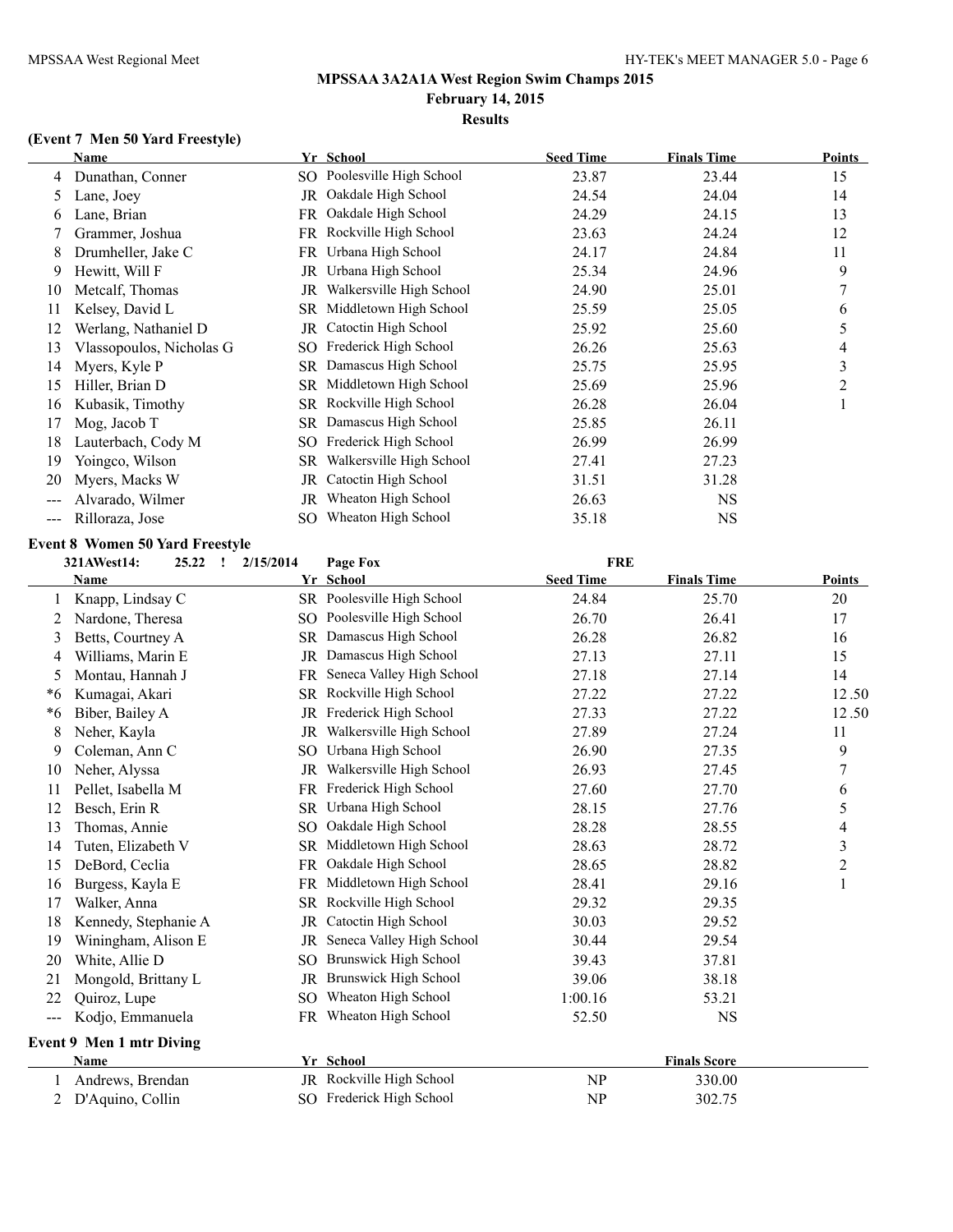## **Results**

# **(Event 7 Men 50 Yard Freestyle)**

|    | Name                     |     | Yr School                | <b>Seed Time</b> | <b>Finals Time</b> | <b>Points</b> |
|----|--------------------------|-----|--------------------------|------------------|--------------------|---------------|
| 4  | Dunathan, Conner         | SO. | Poolesville High School  | 23.87            | 23.44              | 15            |
| 5. | Lane, Joey               | JR  | Oakdale High School      | 24.54            | 24.04              | 14            |
| b  | Lane, Brian              | FR  | Oakdale High School      | 24.29            | 24.15              | 13            |
|    | Grammer, Joshua          | FR  | Rockville High School    | 23.63            | 24.24              | 12            |
| 8  | Drumheller, Jake C       | FR  | Urbana High School       | 24.17            | 24.84              | 11            |
| 9  | Hewitt, Will F           | JR  | Urbana High School       | 25.34            | 24.96              | 9             |
| 10 | Metcalf, Thomas          | JR  | Walkersville High School | 24.90            | 25.01              |               |
| 11 | Kelsey, David L          | SR  | Middletown High School   | 25.59            | 25.05              | 6             |
| 12 | Werlang, Nathaniel D     | JR  | Catoctin High School     | 25.92            | 25.60              | 5             |
| 13 | Vlassopoulos, Nicholas G | SO. | Frederick High School    | 26.26            | 25.63              | 4             |
| 14 | Myers, Kyle P            | SR  | Damascus High School     | 25.75            | 25.95              | 3             |
| 15 | Hiller, Brian D          | SR  | Middletown High School   | 25.69            | 25.96              | 2             |
| 16 | Kubasik, Timothy         |     | SR Rockville High School | 26.28            | 26.04              |               |
| 17 | Mog, Jacob T             |     | SR Damascus High School  | 25.85            | 26.11              |               |
| 18 | Lauterbach, Cody M       | SO  | Frederick High School    | 26.99            | 26.99              |               |
| 19 | Yoingco, Wilson          | SR  | Walkersville High School | 27.41            | 27.23              |               |
| 20 | Myers, Macks W           | JR  | Catoctin High School     | 31.51            | 31.28              |               |
|    | Alvarado, Wilmer         | JR  | Wheaton High School      | 26.63            | <b>NS</b>          |               |
|    | Rilloraza, Jose          | SO. | Wheaton High School      | 35.18            | NS                 |               |

## **Event 8 Women 50 Yard Freestyle**

| 321AWest14:<br>2/15/2014<br>25.22<br>$\mathbf{r}$ |                          |           | Page Fox                     | <b>FRE</b>       |                     |                         |
|---------------------------------------------------|--------------------------|-----------|------------------------------|------------------|---------------------|-------------------------|
|                                                   | Name                     |           | Yr School                    | <b>Seed Time</b> | <b>Finals Time</b>  | <b>Points</b>           |
|                                                   | Knapp, Lindsay C         |           | SR Poolesville High School   | 24.84            | 25.70               | 20                      |
| 2                                                 | Nardone, Theresa         |           | SO Poolesville High School   | 26.70            | 26.41               | 17                      |
| 3                                                 | Betts, Courtney A        |           | SR Damascus High School      | 26.28            | 26.82               | 16                      |
| 4                                                 | Williams, Marin E        | JR        | Damascus High School         | 27.13            | 27.11               | 15                      |
| 5                                                 | Montau, Hannah J         |           | FR Seneca Valley High School | 27.18            | 27.14               | 14                      |
| *6                                                | Kumagai, Akari           |           | SR Rockville High School     | 27.22            | 27.22               | 12.50                   |
| $*6$                                              | Biber, Bailey A          | JR        | Frederick High School        | 27.33            | 27.22               | 12.50                   |
| 8                                                 | Neher, Kayla             | JR        | Walkersville High School     | 27.89            | 27.24               | 11                      |
| 9                                                 | Coleman, Ann C           | SO.       | Urbana High School           | 26.90            | 27.35               | 9                       |
| 10                                                | Neher, Alyssa            | JR        | Walkersville High School     | 26.93            | 27.45               | 7                       |
| 11                                                | Pellet, Isabella M       | FR        | Frederick High School        | 27.60            | 27.70               | 6                       |
| 12                                                | Besch, Erin R            | SR.       | Urbana High School           | 28.15            | 27.76               | 5                       |
| 13                                                | Thomas, Annie            | SO        | Oakdale High School          | 28.28            | 28.55               | 4                       |
| 14                                                | Tuten, Elizabeth V       | SR        | Middletown High School       | 28.63            | 28.72               | $\overline{\mathbf{3}}$ |
| 15                                                | DeBord, Ceclia           | <b>FR</b> | Oakdale High School          | 28.65            | 28.82               | $\overline{c}$          |
| 16                                                | Burgess, Kayla E         | FR        | Middletown High School       | 28.41            | 29.16               | $\mathbf{1}$            |
| 17                                                | Walker, Anna             | SR        | Rockville High School        | 29.32            | 29.35               |                         |
| 18                                                | Kennedy, Stephanie A     | JR        | Catoctin High School         | 30.03            | 29.52               |                         |
| 19                                                | Winingham, Alison E      | JR        | Seneca Valley High School    | 30.44            | 29.54               |                         |
| 20                                                | White, Allie D           | SO.       | Brunswick High School        | 39.43            | 37.81               |                         |
| 21                                                | Mongold, Brittany L      | JR        | <b>Brunswick High School</b> | 39.06            | 38.18               |                         |
| 22                                                | Quiroz, Lupe             |           | SO Wheaton High School       | 1:00.16          | 53.21               |                         |
| $---$                                             | Kodjo, Emmanuela         |           | FR Wheaton High School       | 52.50            | <b>NS</b>           |                         |
|                                                   | Event 9 Men 1 mtr Diving |           |                              |                  |                     |                         |
|                                                   | Name                     |           | Yr School                    |                  | <b>Finals Score</b> |                         |
|                                                   | Andrews, Brendan         |           | JR Rockville High School     | NP               | 330.00              |                         |
| 2                                                 | D'Aquino, Collin         |           | SO Frederick High School     | NP               | 302.75              |                         |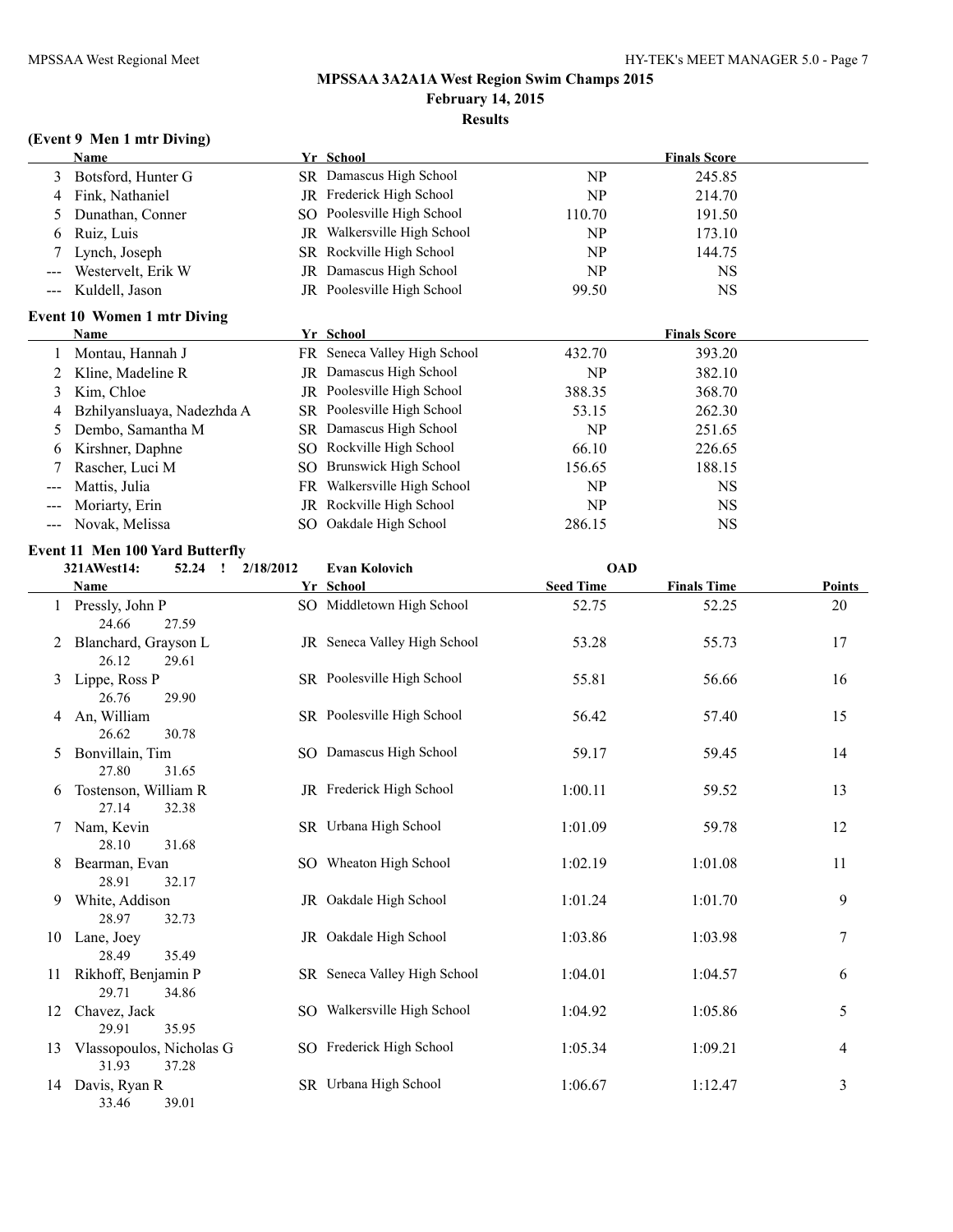## **MPSSAA 3A2A1A West Region Swim Champs 2015 February 14, 2015 Results**

## **(Event 9 Men 1 mtr Diving)**

|       | <b>Name</b>                                         | Yr School                    |                  | <b>Finals Score</b> |               |
|-------|-----------------------------------------------------|------------------------------|------------------|---------------------|---------------|
| 3     | Botsford, Hunter G                                  | SR Damascus High School      | NP               | 245.85              |               |
| 4     | Fink, Nathaniel                                     | JR Frederick High School     | NP               | 214.70              |               |
| 5     | Dunathan, Conner                                    | SO Poolesville High School   | 110.70           | 191.50              |               |
| 6     | Ruiz, Luis                                          | JR Walkersville High School  | NP               | 173.10              |               |
| 7     | Lynch, Joseph                                       | SR Rockville High School     | NP               | 144.75              |               |
|       | Westervelt, Erik W                                  | JR Damascus High School      | NP               | <b>NS</b>           |               |
| $---$ | Kuldell, Jason                                      | JR Poolesville High School   | 99.50            | <b>NS</b>           |               |
|       | <b>Event 10 Women 1 mtr Diving</b>                  |                              |                  |                     |               |
|       | Name                                                | Yr School                    |                  | <b>Finals Score</b> |               |
| 1     | Montau, Hannah J                                    | FR Seneca Valley High School | 432.70           | 393.20              |               |
| 2     | Kline, Madeline R                                   | JR Damascus High School      | <b>NP</b>        | 382.10              |               |
| 3     | Kim, Chloe                                          | JR Poolesville High School   | 388.35           | 368.70              |               |
| 4     | Bzhilyansluaya, Nadezhda A                          | SR Poolesville High School   | 53.15            | 262.30              |               |
| 5     | Dembo, Samantha M                                   | SR Damascus High School      | NP               | 251.65              |               |
| 6     | Kirshner, Daphne                                    | SO Rockville High School     | 66.10            | 226.65              |               |
| 7     | Rascher, Luci M                                     | SO Brunswick High School     | 156.65           | 188.15              |               |
| $---$ | Mattis, Julia                                       | FR Walkersville High School  | NP               | <b>NS</b>           |               |
|       | Moriarty, Erin                                      | JR Rockville High School     | NP               | <b>NS</b>           |               |
|       | Novak, Melissa                                      | SO Oakdale High School       | 286.15           | <b>NS</b>           |               |
|       |                                                     |                              |                  |                     |               |
|       | <b>Event 11 Men 100 Yard Butterfly</b>              |                              |                  |                     |               |
|       | 321AWest14:<br>$52.24$ !<br>2/18/2012               | <b>Evan Kolovich</b>         | <b>OAD</b>       |                     |               |
|       | <b>Name</b>                                         | Yr School                    | <b>Seed Time</b> | <b>Finals Time</b>  | <b>Points</b> |
|       | 1 Pressly, John P<br>24.66<br>27.59                 | SO Middletown High School    | 52.75            | 52.25               | 20            |
| 2     | Blanchard, Grayson L<br>26.12<br>29.61              | JR Seneca Valley High School | 53.28            | 55.73               | 17            |
| 3     | Lippe, Ross P<br>26.76<br>29.90                     | SR Poolesville High School   | 55.81            | 56.66               | 16            |
| 4     | An, William<br>26.62<br>30.78                       | SR Poolesville High School   | 56.42            | 57.40               | 15            |
| 5     | Bonvillain, Tim<br>27.80<br>31.65                   | SO Damascus High School      | 59.17            | 59.45               | 14            |
| 6     | Tostenson, William R<br>27.14<br>32.38              | JR Frederick High School     | 1:00.11          | 59.52               | 13            |
| 7     | Nam, Kevin<br>31.68<br>28.10                        | SR Urbana High School        | 1:01.09          | 59.78               | 12            |
| 8     | Bearman, Evan<br>28.91<br>32.17                     | SO Wheaton High School       | 1:02.19          | 1:01.08             | 11            |
| 9.    | White, Addison<br>28.97<br>32.73                    | JR Oakdale High School       | 1:01.24          | 1:01.70             | 9             |
|       | 10 Lane, Joey<br>28.49<br>35.49                     | JR Oakdale High School       | 1:03.86          | 1:03.98             | 7             |
| $\pm$ | Rikhoff, Benjamin P<br>29.71<br>34.86               | SR Seneca Valley High School | 1:04.01          | 1:04.57             | 6             |
| 12    | Chavez, Jack                                        | SO Walkersville High School  | 1:04.92          | 1:05.86             | 5             |
| 13    | 29.91<br>35.95<br>Vlassopoulos, Nicholas G<br>31.93 | SO Frederick High School     | 1:05.34          | 1:09.21             | 4             |
|       | 37.28<br>14 Davis, Ryan R<br>33.46<br>39.01         | SR Urbana High School        | 1:06.67          | 1:12.47             | 3             |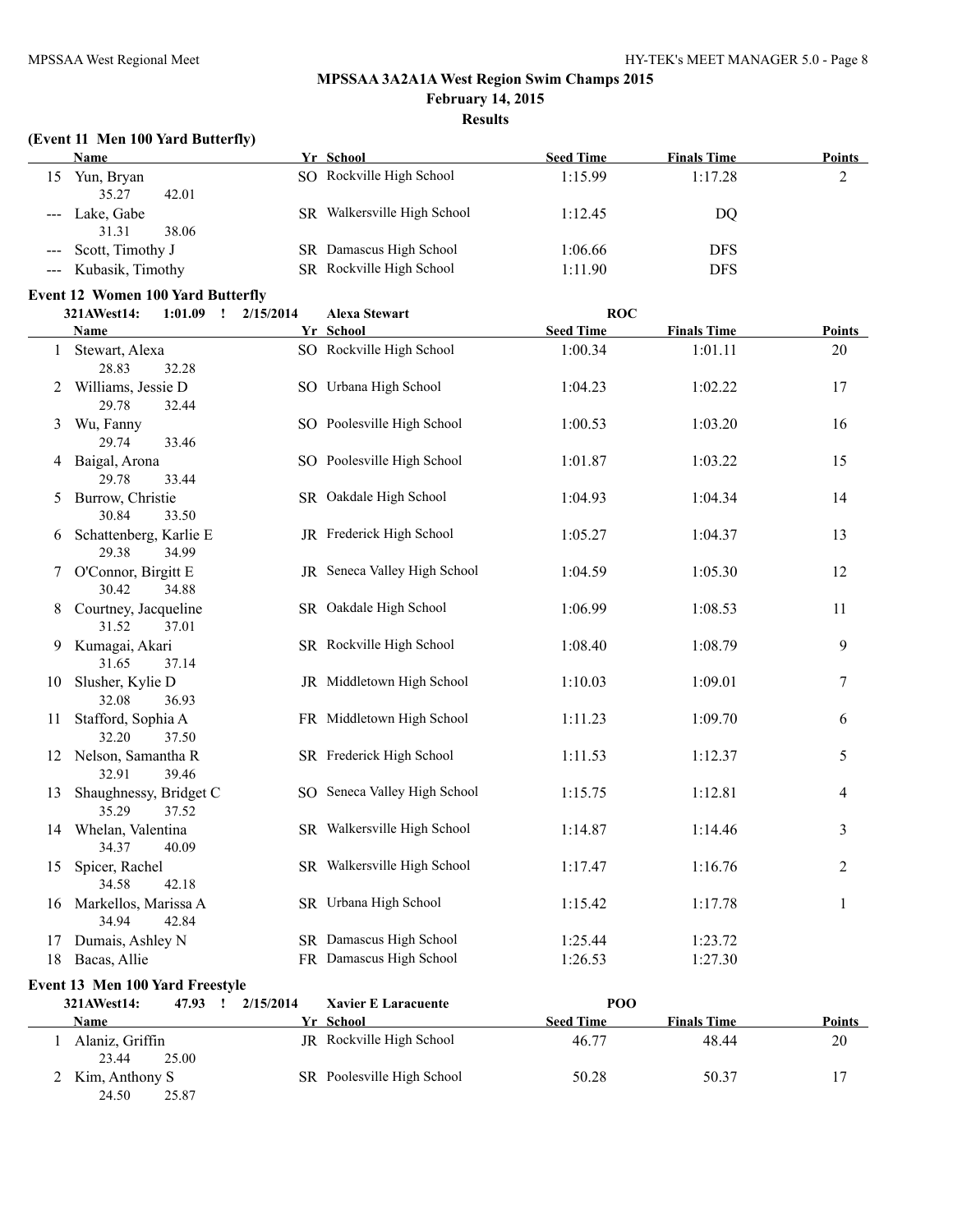**Results**

## **(Event 11 Men 100 Yard Butterfly)**

|                     |                  | . .                             |                  |                    |               |
|---------------------|------------------|---------------------------------|------------------|--------------------|---------------|
|                     | <b>Name</b>      | Yr School                       | <b>Seed Time</b> | <b>Finals Time</b> | <b>Points</b> |
| 15                  | Yun, Bryan       | SO Rockville High School        | 1:15.99          | 1:17.28            | ∠             |
|                     | 35.27<br>42.01   |                                 |                  |                    |               |
|                     | Lake, Gabe       | Walkersville High School<br>SR. | 1:12.45          | DQ                 |               |
|                     | 38.06<br>31.31   |                                 |                  |                    |               |
| $\qquad \qquad - -$ | Scott, Timothy J | SR Damascus High School         | 1:06.66          | <b>DFS</b>         |               |
|                     | Kubasik, Timothy | SR Rockville High School        | 1:11.90          | DFS                |               |
|                     |                  |                                 |                  |                    |               |

## **Event 12 Women 100 Yard Butterfly**

25.87

|    | 321AWest14:                      | 1:01.09<br>$\mathbf{I}$ | 2/15/2014           | <b>Alexa Stewart</b>         | <b>ROC</b>       |                    |               |
|----|----------------------------------|-------------------------|---------------------|------------------------------|------------------|--------------------|---------------|
|    | <b>Name</b>                      |                         |                     | Yr School                    | <b>Seed Time</b> | <b>Finals Time</b> | Points        |
|    | 1 Stewart, Alexa<br>28.83        | 32.28                   |                     | SO Rockville High School     | 1:00.34          | 1:01.11            | 20            |
| 2  | Williams, Jessie D<br>29.78      | 32.44                   |                     | SO Urbana High School        | 1:04.23          | 1:02.22            | 17            |
| 3  | Wu, Fanny<br>29.74               | 33.46                   |                     | SO Poolesville High School   | 1:00.53          | 1:03.20            | 16            |
| 4  | Baigal, Arona<br>29.78           | 33.44                   |                     | SO Poolesville High School   | 1:01.87          | 1:03.22            | 15            |
| 5  | Burrow, Christie<br>30.84        | 33.50                   |                     | SR Oakdale High School       | 1:04.93          | 1:04.34            | 14            |
| 6  | Schattenberg, Karlie E<br>29.38  | 34.99                   |                     | JR Frederick High School     | 1:05.27          | 1:04.37            | 13            |
| 7  | O'Connor, Birgitt E<br>30.42     | 34.88                   |                     | JR Seneca Valley High School | 1:04.59          | 1:05.30            | 12            |
| 8  | Courtney, Jacqueline<br>31.52    | 37.01                   |                     | SR Oakdale High School       | 1:06.99          | 1:08.53            | 11            |
| 9  | Kumagai, Akari<br>31.65          | 37.14                   |                     | SR Rockville High School     | 1:08.40          | 1:08.79            | 9             |
| 10 | Slusher, Kylie D<br>32.08        | 36.93                   |                     | JR Middletown High School    | 1:10.03          | 1:09.01            | $\tau$        |
| 11 | Stafford, Sophia A<br>32.20      | 37.50                   |                     | FR Middletown High School    | 1:11.23          | 1:09.70            | 6             |
|    | 12 Nelson, Samantha R<br>32.91   | 39.46                   |                     | SR Frederick High School     | 1:11.53          | 1:12.37            | 5             |
| 13 | Shaughnessy, Bridget C<br>35.29  | 37.52                   |                     | SO Seneca Valley High School | 1:15.75          | 1:12.81            | 4             |
| 14 | Whelan, Valentina<br>34.37       | 40.09                   |                     | SR Walkersville High School  | 1:14.87          | 1:14.46            | 3             |
| 15 | Spicer, Rachel<br>34.58          | 42.18                   |                     | SR Walkersville High School  | 1:17.47          | 1:16.76            | 2             |
|    | 16 Markellos, Marissa A<br>34.94 | 42.84                   |                     | SR Urbana High School        | 1:15.42          | 1:17.78            | 1             |
| 17 | Dumais, Ashley N                 |                         |                     | SR Damascus High School      | 1:25.44          | 1:23.72            |               |
|    | 18 Bacas, Allie                  |                         |                     | FR Damascus High School      | 1:26.53          | 1:27.30            |               |
|    | Event 13 Men 100 Yard Freestyle  |                         |                     |                              |                  |                    |               |
|    | 321AWest14:                      |                         | 47.93  !  2/15/2014 | <b>Xavier E Laracuente</b>   | POO              |                    |               |
|    | <b>Name</b>                      |                         |                     | Yr School                    | <b>Seed Time</b> | <b>Finals Time</b> | <b>Points</b> |
|    | 1 Alaniz, Griffin<br>23.44       | 25.00                   |                     | JR Rockville High School     | 46.77            | 48.44              | 20            |

2 Kim, Anthony S<br>24.50 25.87 SR Poolesville High School 50.28 50.37 17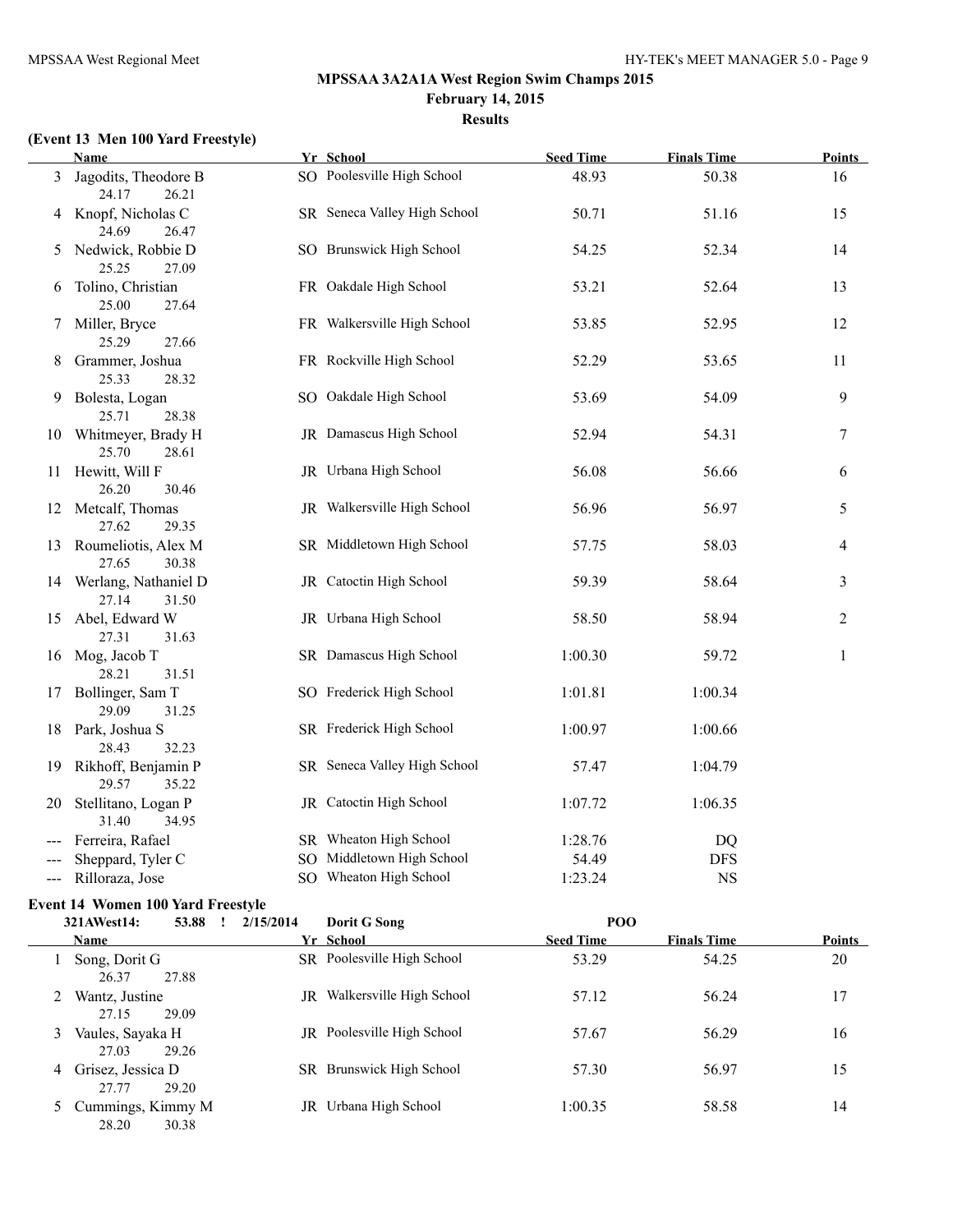#### **Results**

# **(Event 13 Men 100 Yard Freestyle)**

|                                             | Name                                                                              | Yr School                           | <b>Seed Time</b>   | <b>Finals Time</b> | <u>Points</u> |
|---------------------------------------------|-----------------------------------------------------------------------------------|-------------------------------------|--------------------|--------------------|---------------|
| 3                                           | Jagodits, Theodore B<br>24.17<br>26.21                                            | SO Poolesville High School          | 48.93              | 50.38              | 16            |
|                                             | 4 Knopf, Nicholas C<br>24.69<br>26.47                                             | SR Seneca Valley High School        | 50.71              | 51.16              | 15            |
| 5                                           | Nedwick, Robbie D<br>25.25<br>27.09                                               | SO Brunswick High School            | 54.25              | 52.34              | 14            |
| 6                                           | Tolino, Christian<br>25.00<br>27.64                                               | FR Oakdale High School              | 53.21              | 52.64              | 13            |
| 7                                           | Miller, Bryce<br>25.29<br>27.66                                                   | FR Walkersville High School         | 53.85              | 52.95              | 12            |
|                                             | 8 Grammer, Joshua<br>25.33<br>28.32                                               | FR Rockville High School            | 52.29              | 53.65              | 11            |
|                                             | 9 Bolesta, Logan<br>25.71<br>28.38                                                | SO Oakdale High School              | 53.69              | 54.09              | 9             |
|                                             | 10 Whitmeyer, Brady H<br>25.70<br>28.61                                           | JR Damascus High School             | 52.94              | 54.31              | 7             |
|                                             | 11 Hewitt, Will F<br>26.20<br>30.46                                               | JR Urbana High School               | 56.08              | 56.66              | 6             |
|                                             | 12 Metcalf, Thomas<br>27.62<br>29.35                                              | JR Walkersville High School         | 56.96              | 56.97              | 5             |
|                                             | 13 Roumeliotis, Alex M<br>27.65<br>30.38                                          | SR Middletown High School           | 57.75              | 58.03              | 4             |
|                                             | 14 Werlang, Nathaniel D<br>27.14<br>31.50                                         | JR Catoctin High School             | 59.39              | 58.64              | 3             |
|                                             | 15 Abel, Edward W<br>27.31<br>31.63                                               | JR Urbana High School               | 58.50              | 58.94              | 2             |
|                                             | 16 Mog, Jacob T<br>28.21<br>31.51                                                 | SR Damascus High School             | 1:00.30            | 59.72              | $\mathbf{1}$  |
| 17                                          | Bollinger, Sam T<br>29.09<br>31.25                                                | SO Frederick High School            | 1:01.81            | 1:00.34            |               |
|                                             | 18 Park, Joshua S<br>28.43<br>32.23                                               | SR Frederick High School            | 1:00.97            | 1:00.66            |               |
|                                             | 19 Rikhoff, Benjamin P<br>29.57<br>35.22                                          | SR Seneca Valley High School        | 57.47              | 1:04.79            |               |
|                                             | 20 Stellitano, Logan P<br>31.40<br>34.95                                          | JR Catoctin High School             | 1:07.72            | 1:06.35            |               |
|                                             | Ferreira, Rafael                                                                  | SR Wheaton High School              | 1:28.76            | DQ                 |               |
|                                             | Sheppard, Tyler C                                                                 | SO Middletown High School           | 54.49              | <b>DFS</b>         |               |
| $\scriptstyle \cdots$ $\scriptstyle \cdots$ | Rilloraza, Jose                                                                   | SO Wheaton High School              | 1:23.24            | $_{\rm NS}$        |               |
|                                             | <b>Event 14 Women 100 Yard Freestyle</b>                                          |                                     |                    |                    |               |
|                                             | $221 \text{ AU}$ <sub>00</sub> 414, $\overline{52}$ QQ $\overline{1}$ $2/15/2014$ | $D_{\alpha}$ $\mu$ $\alpha$ $\beta$ | $\mathbf{D}\Omega$ |                    |               |

|    | 321AWest14:                           | 53.88 | 2/15/2014 | Dorit G Song                      | POO              |                    |               |
|----|---------------------------------------|-------|-----------|-----------------------------------|------------------|--------------------|---------------|
|    | Name                                  |       |           | Yr School                         | <b>Seed Time</b> | <b>Finals Time</b> | <b>Points</b> |
|    | Song, Dorit G<br>26.37<br>27.88       |       |           | SR Poolesville High School        | 53.29            | 54.25              | 20            |
|    | Wantz, Justine<br>27.15<br>29.09      |       | JR        | Walkersville High School          | 57.12            | 56.24              | 17            |
| 3. | Vaules, Sayaka H<br>27.03<br>29.26    |       |           | <b>JR</b> Poolesville High School | 57.67            | 56.29              | 16            |
| 4  | Grisez, Jessica D<br>27.77<br>29.20   |       |           | SR Brunswick High School          | 57.30            | 56.97              | 15            |
|    | 5 Cummings, Kimmy M<br>28.20<br>30.38 |       |           | JR Urbana High School             | 1:00.35          | 58.58              | 14            |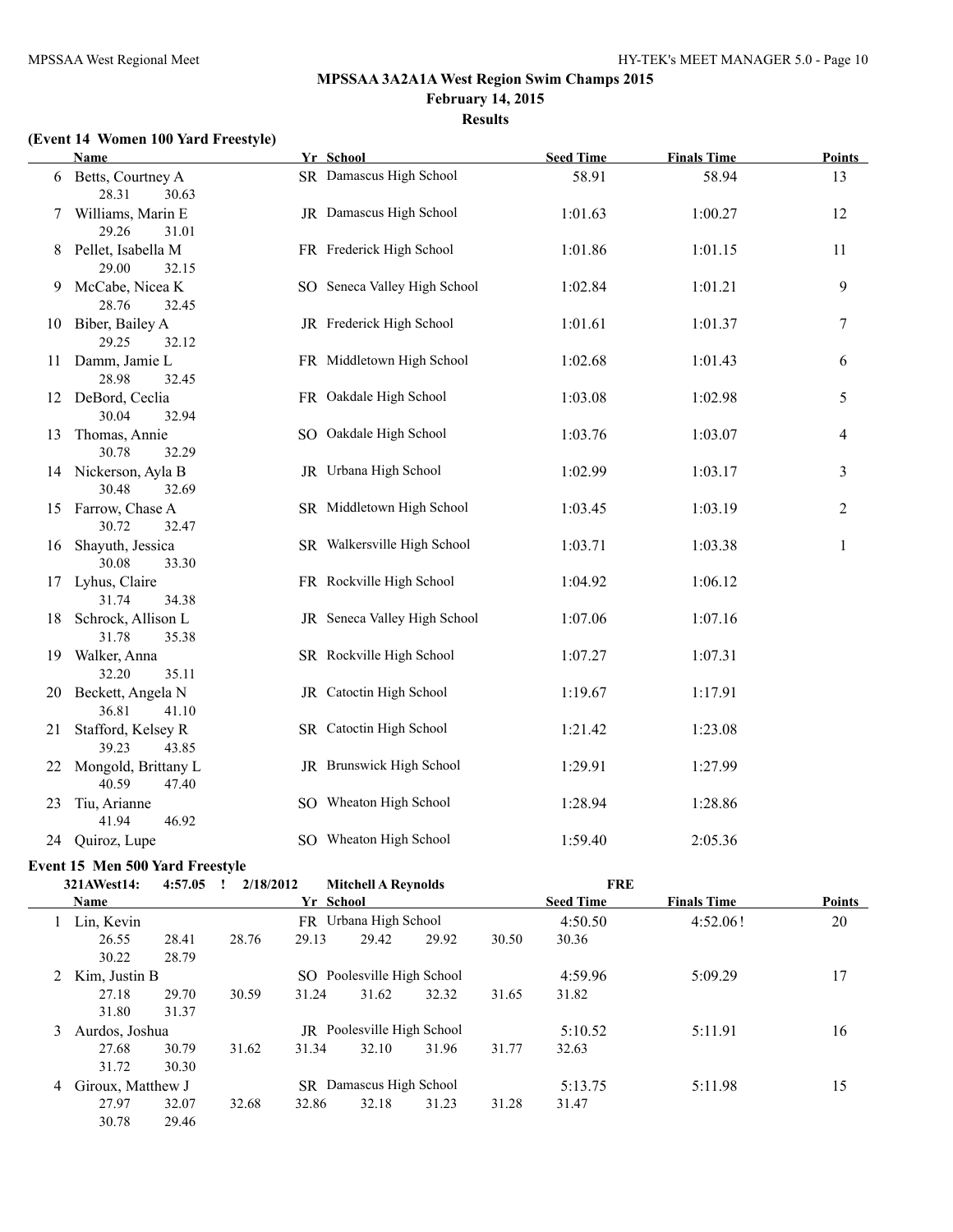#### **Results**

# **(Event 14 Women 100 Yard Freestyle)**

|    | <b>Name</b>                            | Yr School                    | <b>Seed Time</b> | <b>Finals Time</b> | <b>Points</b>  |
|----|----------------------------------------|------------------------------|------------------|--------------------|----------------|
|    | 6 Betts, Courtney A<br>28.31<br>30.63  | SR Damascus High School      | 58.91            | 58.94              | 13             |
|    | 7 Williams, Marin E<br>29.26<br>31.01  | JR Damascus High School      | 1:01.63          | 1:00.27            | 12             |
|    | 8 Pellet, Isabella M<br>29.00<br>32.15 | FR Frederick High School     | 1:01.86          | 1:01.15            | 11             |
| 9  | McCabe, Nicea K<br>28.76<br>32.45      | SO Seneca Valley High School | 1:02.84          | 1:01.21            | 9              |
|    | 10 Biber, Bailey A<br>29.25<br>32.12   | JR Frederick High School     | 1:01.61          | 1:01.37            | 7              |
|    | 11 Damm, Jamie L<br>28.98<br>32.45     | FR Middletown High School    | 1:02.68          | 1:01.43            | 6              |
|    | 12 DeBord, Ceclia<br>30.04<br>32.94    | FR Oakdale High School       | 1:03.08          | 1:02.98            | 5              |
| 13 | Thomas, Annie<br>30.78<br>32.29        | SO Oakdale High School       | 1:03.76          | 1:03.07            | 4              |
|    | 14 Nickerson, Ayla B<br>30.48<br>32.69 | JR Urbana High School        | 1:02.99          | 1:03.17            | $\mathfrak{Z}$ |
|    | 15 Farrow, Chase A<br>30.72<br>32.47   | SR Middletown High School    | 1:03.45          | 1:03.19            | $\overline{2}$ |
| 16 | Shayuth, Jessica<br>30.08<br>33.30     | SR Walkersville High School  | 1:03.71          | 1:03.38            | $\mathbf{1}$   |
|    | 17 Lyhus, Claire<br>31.74<br>34.38     | FR Rockville High School     | 1:04.92          | 1:06.12            |                |
| 18 | Schrock, Allison L<br>31.78<br>35.38   | JR Seneca Valley High School | 1:07.06          | 1:07.16            |                |
| 19 | Walker, Anna<br>32.20<br>35.11         | SR Rockville High School     | 1:07.27          | 1:07.31            |                |
|    | 20 Beckett, Angela N<br>36.81<br>41.10 | JR Catoctin High School      | 1:19.67          | 1:17.91            |                |
| 21 | Stafford, Kelsey R<br>43.85<br>39.23   | SR Catoctin High School      | 1:21.42          | 1:23.08            |                |
| 22 | Mongold, Brittany L<br>40.59<br>47.40  | JR Brunswick High School     | 1:29.91          | 1:27.99            |                |
| 23 | Tiu, Arianne<br>41.94<br>46.92         | SO Wheaton High School       | 1:28.94          | 1:28.86            |                |
|    | 24 Quiroz, Lupe                        | SO Wheaton High School       | 1:59.40          | 2:05.36            |                |

#### **Event 15 Men 500 Yard Freestyle**

|   | 321AWest14:       | 4:57.05 | 2/18/2012 |           | <b>Mitchell A Revnolds</b>     |       |       | <b>FRE</b>       |                    |               |
|---|-------------------|---------|-----------|-----------|--------------------------------|-------|-------|------------------|--------------------|---------------|
|   | <b>Name</b>       |         |           | Yr School |                                |       |       | <b>Seed Time</b> | <b>Finals Time</b> | <b>Points</b> |
|   | Lin, Kevin        |         |           |           | FR Urbana High School          |       |       | 4:50.50          | 4:52.06!           | 20            |
|   | 26.55             | 28.41   | 28.76     | 29.13     | 29.42                          | 29.92 | 30.50 | 30.36            |                    |               |
|   | 30.22             | 28.79   |           |           |                                |       |       |                  |                    |               |
|   | 2 Kim, Justin B   |         |           |           | SO Poolesville High School     |       |       | 4:59.96          | 5:09.29            | 17            |
|   | 27.18             | 29.70   | 30.59     | 31.24     | 31.62                          | 32.32 | 31.65 | 31.82            |                    |               |
|   | 31.80             | 31.37   |           |           |                                |       |       |                  |                    |               |
| 3 | Aurdos, Joshua    |         |           |           | JR Poolesville High School     |       |       | 5:10.52          | 5:11.91            | 16            |
|   | 27.68             | 30.79   | 31.62     | 31.34     | 32.10                          | 31.96 | 31.77 | 32.63            |                    |               |
|   | 31.72             | 30.30   |           |           |                                |       |       |                  |                    |               |
| 4 | Giroux, Matthew J |         |           |           | <b>SR</b> Damascus High School |       |       | 5:13.75          | 5:11.98            | 15            |
|   | 27.97             | 32.07   | 32.68     | 32.86     | 32.18                          | 31.23 | 31.28 | 31.47            |                    |               |
|   | 30.78             | 29.46   |           |           |                                |       |       |                  |                    |               |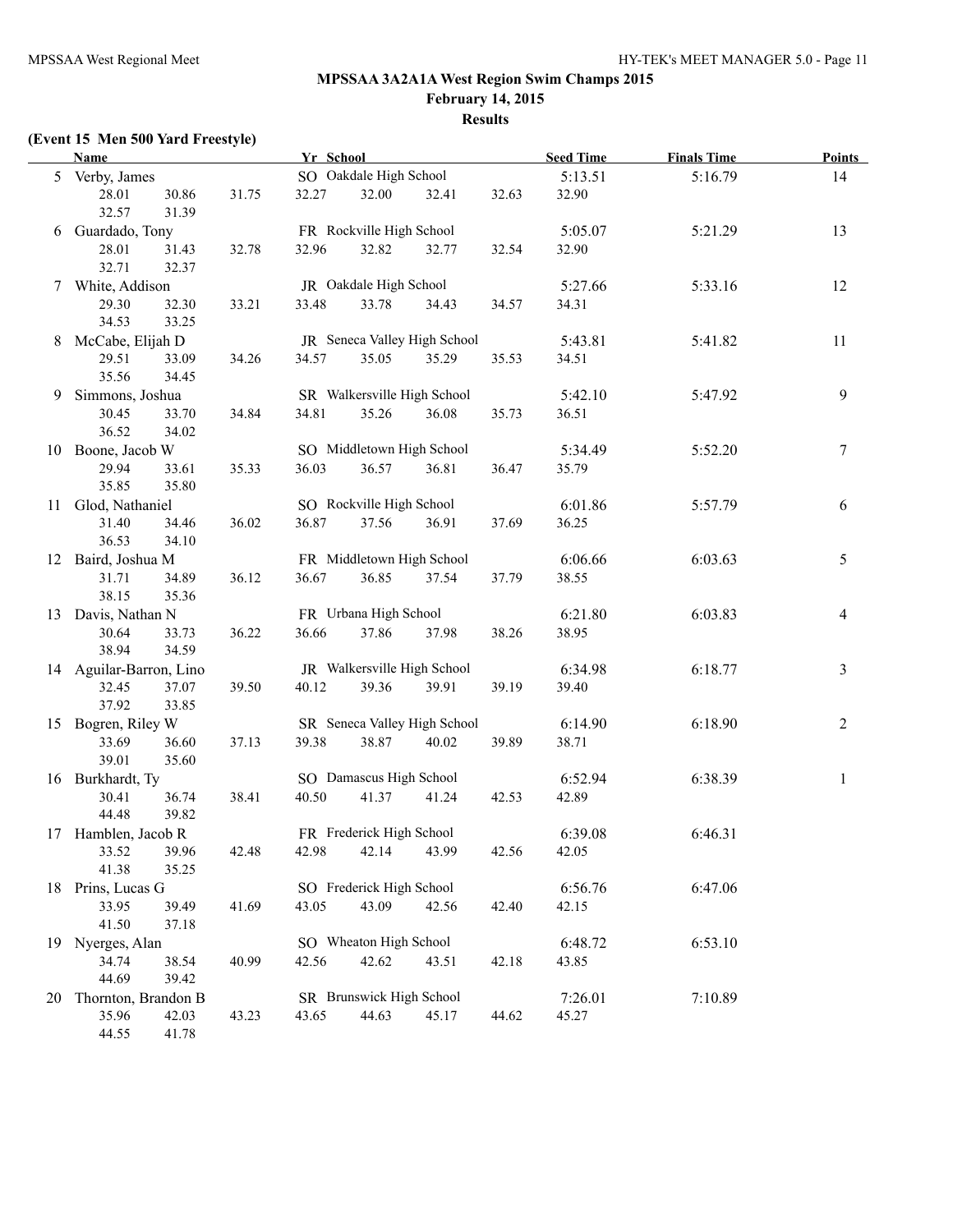# **Results**

# **(Event 15 Men 500 Yard Freestyle)**

|    | <b>Name</b>             |       |       | Yr School |                           |                              |       | <b>Seed Time</b> | <b>Finals Time</b> | <b>Points</b>    |
|----|-------------------------|-------|-------|-----------|---------------------------|------------------------------|-------|------------------|--------------------|------------------|
|    | 5 Verby, James          |       |       |           | SO Oakdale High School    |                              |       | 5:13.51          | 5:16.79            | 14               |
|    | 28.01                   | 30.86 | 31.75 | 32.27     | 32.00                     | 32.41                        | 32.63 | 32.90            |                    |                  |
|    | 32.57                   | 31.39 |       |           |                           |                              |       |                  |                    |                  |
|    | 6 Guardado, Tony        |       |       |           | FR Rockville High School  |                              |       | 5:05.07          | 5:21.29            | 13               |
|    | 28.01                   | 31.43 | 32.78 | 32.96     | 32.82                     | 32.77                        | 32.54 | 32.90            |                    |                  |
|    | 32.71                   | 32.37 |       |           |                           |                              |       |                  |                    |                  |
|    | 7 White, Addison        |       |       |           | JR Oakdale High School    |                              |       | 5:27.66          | 5:33.16            | 12               |
|    | 29.30                   | 32.30 | 33.21 | 33.48     | 33.78                     | 34.43                        | 34.57 | 34.31            |                    |                  |
|    | 34.53                   | 33.25 |       |           |                           |                              |       |                  |                    |                  |
| 8  | McCabe, Elijah D        |       |       |           |                           | JR Seneca Valley High School |       | 5:43.81          | 5:41.82            | 11               |
|    | 29.51                   | 33.09 | 34.26 | 34.57     | 35.05                     | 35.29                        | 35.53 | 34.51            |                    |                  |
|    | 35.56                   | 34.45 |       |           |                           |                              |       |                  |                    |                  |
| 9  | Simmons, Joshua         |       |       |           |                           | SR Walkersville High School  |       | 5:42.10          | 5:47.92            | 9                |
|    | 30.45                   | 33.70 | 34.84 | 34.81     | 35.26                     | 36.08                        | 35.73 | 36.51            |                    |                  |
|    | 36.52                   | 34.02 |       |           |                           |                              |       |                  |                    |                  |
|    | 10 Boone, Jacob W       |       |       |           | SO Middletown High School |                              |       | 5:34.49          | 5:52.20            | $\boldsymbol{7}$ |
|    | 29.94                   | 33.61 | 35.33 | 36.03     | 36.57                     | 36.81                        | 36.47 | 35.79            |                    |                  |
|    | 35.85                   | 35.80 |       |           |                           |                              |       |                  |                    |                  |
|    | 11 Glod, Nathaniel      |       |       |           | SO Rockville High School  |                              |       | 6:01.86          | 5:57.79            | 6                |
|    | 31.40                   | 34.46 | 36.02 | 36.87     | 37.56                     | 36.91                        | 37.69 | 36.25            |                    |                  |
|    | 36.53                   | 34.10 |       |           |                           |                              |       |                  |                    |                  |
|    | 12 Baird, Joshua M      |       |       |           | FR Middletown High School |                              |       | 6:06.66          | 6:03.63            | 5                |
|    | 31.71                   | 34.89 | 36.12 | 36.67     | 36.85                     | 37.54                        | 37.79 | 38.55            |                    |                  |
|    | 38.15                   | 35.36 |       |           |                           |                              |       |                  |                    |                  |
|    | 13 Davis, Nathan N      |       |       |           | FR Urbana High School     |                              |       | 6:21.80          | 6:03.83            | $\overline{4}$   |
|    | 30.64                   | 33.73 | 36.22 | 36.66     | 37.86                     | 37.98                        | 38.26 | 38.95            |                    |                  |
|    | 38.94                   | 34.59 |       |           |                           |                              |       |                  |                    |                  |
|    | 14 Aguilar-Barron, Lino |       |       |           |                           | JR Walkersville High School  |       | 6:34.98          | 6:18.77            | 3                |
|    | 32.45                   | 37.07 | 39.50 | 40.12     | 39.36                     | 39.91                        | 39.19 | 39.40            |                    |                  |
|    | 37.92                   | 33.85 |       |           |                           |                              |       |                  |                    |                  |
|    | 15 Bogren, Riley W      |       |       |           |                           | SR Seneca Valley High School |       | 6:14.90          | 6:18.90            | $\overline{c}$   |
|    | 33.69                   | 36.60 | 37.13 | 39.38     | 38.87                     | 40.02                        | 39.89 | 38.71            |                    |                  |
|    | 39.01                   | 35.60 |       |           |                           |                              |       |                  |                    |                  |
|    | 16 Burkhardt, Ty        |       |       |           | SO Damascus High School   |                              |       | 6:52.94          | 6:38.39            | $\mathbf{1}$     |
|    | 30.41                   | 36.74 | 38.41 | 40.50     | 41.37                     | 41.24                        | 42.53 | 42.89            |                    |                  |
|    | 44.48                   | 39.82 |       |           |                           |                              |       |                  |                    |                  |
|    | 17 Hamblen, Jacob R     |       |       |           | FR Frederick High School  |                              |       | 6:39.08          | 6:46.31            |                  |
|    | 33.52 39.96             |       | 42.48 |           |                           | 42.98 42.14 43.99            | 42.56 | 42.05            |                    |                  |
|    | 41.38                   | 35.25 |       |           |                           |                              |       |                  |                    |                  |
|    | 18 Prins, Lucas G       |       |       |           | SO Frederick High School  |                              |       | 6:56.76          | 6:47.06            |                  |
|    | 33.95                   | 39.49 | 41.69 | 43.05     | 43.09                     | 42.56                        | 42.40 | 42.15            |                    |                  |
|    | 41.50                   | 37.18 |       |           |                           |                              |       |                  |                    |                  |
|    | 19 Nyerges, Alan        |       |       |           | SO Wheaton High School    |                              |       | 6:48.72          | 6:53.10            |                  |
|    | 34.74                   | 38.54 | 40.99 | 42.56     | 42.62                     | 43.51                        | 42.18 | 43.85            |                    |                  |
|    | 44.69                   | 39.42 |       |           |                           |                              |       |                  |                    |                  |
| 20 | Thornton, Brandon B     |       |       |           | SR Brunswick High School  |                              |       | 7:26.01          | 7:10.89            |                  |
|    | 35.96                   | 42.03 | 43.23 | 43.65     | 44.63                     | 45.17                        | 44.62 | 45.27            |                    |                  |
|    | 44.55                   | 41.78 |       |           |                           |                              |       |                  |                    |                  |
|    |                         |       |       |           |                           |                              |       |                  |                    |                  |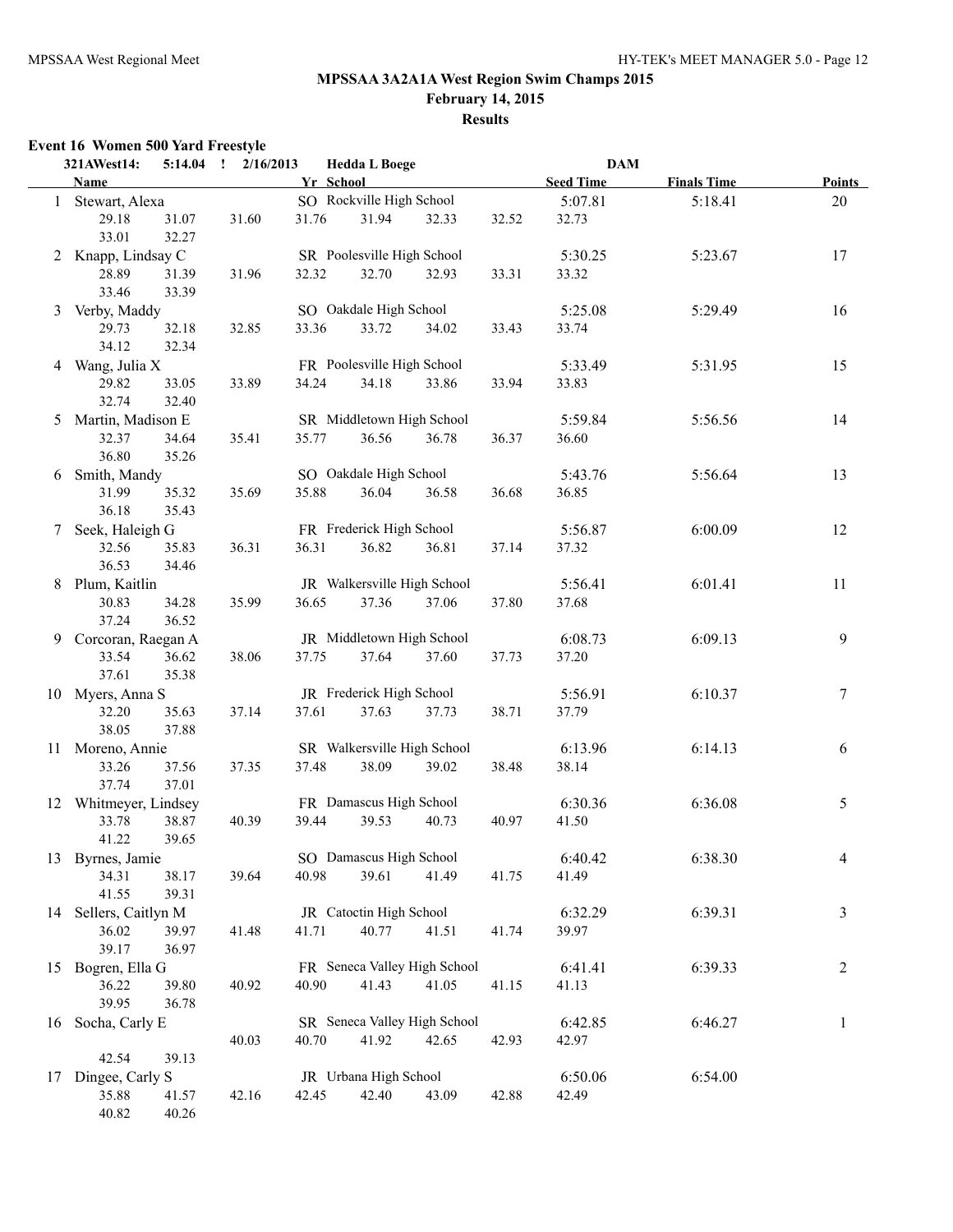**February 14, 2015**

# **Results**

## **Event 16 Women 500 Yard Freestyle**

|   | 321AWest14:<br>5:14.04               | 2/16/2013<br>$\mathbf{I}$ |       | <b>Hedda L Boege</b>         |       |       | <b>DAM</b>       |                    |                |
|---|--------------------------------------|---------------------------|-------|------------------------------|-------|-------|------------------|--------------------|----------------|
|   | Name                                 |                           |       | Yr School                    |       |       | <b>Seed Time</b> | <b>Finals Time</b> | <b>Points</b>  |
|   | 1 Stewart, Alexa                     |                           |       | SO Rockville High School     |       |       | 5:07.81          | 5:18.41            | 20             |
|   | 29.18<br>31.07                       | 31.60                     | 31.76 | 31.94                        | 32.33 | 32.52 | 32.73            |                    |                |
|   | 33.01<br>32.27<br>2 Knapp, Lindsay C |                           |       | SR Poolesville High School   |       |       | 5:30.25          | 5:23.67            | 17             |
|   | 28.89<br>31.39                       | 31.96                     | 32.32 | 32.70                        | 32.93 | 33.31 | 33.32            |                    |                |
|   | 33.46<br>33.39                       |                           |       |                              |       |       |                  |                    |                |
| 3 | Verby, Maddy                         |                           |       | SO Oakdale High School       |       |       | 5:25.08          | 5:29.49            | 16             |
|   | 29.73<br>32.18                       | 32.85                     | 33.36 | 33.72                        | 34.02 | 33.43 | 33.74            |                    |                |
|   | 34.12<br>32.34                       |                           |       |                              |       |       |                  |                    |                |
|   | 4 Wang, Julia X                      |                           |       | FR Poolesville High School   |       |       | 5:33.49          | 5:31.95            | 15             |
|   | 29.82<br>33.05                       | 33.89                     | 34.24 | 34.18                        | 33.86 | 33.94 | 33.83            |                    |                |
|   | 32.74<br>32.40                       |                           |       |                              |       |       |                  |                    |                |
| 5 | Martin, Madison E                    |                           |       | SR Middletown High School    |       |       | 5:59.84          | 5:56.56            | 14             |
|   | 32.37<br>34.64                       | 35.41                     | 35.77 | 36.56                        | 36.78 | 36.37 | 36.60            |                    |                |
|   | 36.80<br>35.26                       |                           |       |                              |       |       |                  |                    |                |
|   | 6 Smith, Mandy                       |                           |       | SO Oakdale High School       |       |       | 5:43.76          | 5:56.64            | 13             |
|   | 31.99<br>35.32                       | 35.69                     | 35.88 | 36.04                        | 36.58 | 36.68 | 36.85            |                    |                |
|   | 36.18<br>35.43                       |                           |       |                              |       |       |                  |                    |                |
| 7 | Seek, Haleigh G                      |                           |       | FR Frederick High School     |       |       | 5:56.87          | 6:00.09            | 12             |
|   | 32.56<br>35.83<br>36.53<br>34.46     | 36.31                     | 36.31 | 36.82                        | 36.81 | 37.14 | 37.32            |                    |                |
| 8 | Plum, Kaitlin                        |                           |       | JR Walkersville High School  |       |       | 5:56.41          | 6:01.41            | 11             |
|   | 30.83<br>34.28                       | 35.99                     | 36.65 | 37.36                        | 37.06 | 37.80 | 37.68            |                    |                |
|   | 37.24<br>36.52                       |                           |       |                              |       |       |                  |                    |                |
|   | 9 Corcoran, Raegan A                 |                           |       | JR Middletown High School    |       |       | 6:08.73          | 6:09.13            | 9              |
|   | 36.62<br>33.54                       | 38.06                     | 37.75 | 37.64                        | 37.60 | 37.73 | 37.20            |                    |                |
|   | 37.61<br>35.38                       |                           |       |                              |       |       |                  |                    |                |
|   | 10 Myers, Anna S                     |                           |       | JR Frederick High School     |       |       | 5:56.91          | 6:10.37            | $\tau$         |
|   | 32.20<br>35.63                       | 37.14                     | 37.61 | 37.63                        | 37.73 | 38.71 | 37.79            |                    |                |
|   | 38.05<br>37.88                       |                           |       |                              |       |       |                  |                    |                |
|   | 11 Moreno, Annie                     |                           |       | SR Walkersville High School  |       |       | 6:13.96          | 6:14.13            | 6              |
|   | 33.26<br>37.56                       | 37.35                     | 37.48 | 38.09                        | 39.02 | 38.48 | 38.14            |                    |                |
|   | 37.01<br>37.74                       |                           |       |                              |       |       |                  |                    |                |
|   | 12 Whitmeyer, Lindsey                |                           |       | FR Damascus High School      |       |       | 6:30.36          | 6:36.08            | 5              |
|   | 33.78<br>38.87<br>41.22<br>39.65     | 40.39                     | 39.44 | 39.53                        | 40.73 | 40.97 | 41.50            |                    |                |
|   | 13 Byrnes, Jamie                     |                           |       | SO Damascus High School      |       |       | 6:40.42          | 6:38.30            | 4              |
|   | 34.31<br>38.17                       | 39.64                     | 40.98 | 39.61                        | 41.49 | 41.75 | 41.49            |                    |                |
|   | 41.55<br>39.31                       |                           |       |                              |       |       |                  |                    |                |
|   | 14 Sellers, Caitlyn M                |                           |       | JR Catoctin High School      |       |       | 6:32.29          | 6:39.31            | $\mathfrak{Z}$ |
|   | 36.02<br>39.97                       | 41.48                     | 41.71 | 40.77                        | 41.51 | 41.74 | 39.97            |                    |                |
|   | 39.17<br>36.97                       |                           |       |                              |       |       |                  |                    |                |
|   | 15 Bogren, Ella G                    |                           |       | FR Seneca Valley High School |       |       | 6:41.41          | 6:39.33            | $\overline{c}$ |
|   | 36.22<br>39.80                       | 40.92                     | 40.90 | 41.43                        | 41.05 | 41.15 | 41.13            |                    |                |
|   | 39.95<br>36.78                       |                           |       |                              |       |       |                  |                    |                |
|   | 16 Socha, Carly E                    |                           |       | SR Seneca Valley High School |       |       | 6:42.85          | 6:46.27            | $\mathbf{1}$   |
|   |                                      | 40.03                     | 40.70 | 41.92                        | 42.65 | 42.93 | 42.97            |                    |                |
|   | 39.13<br>42.54                       |                           |       |                              |       |       |                  |                    |                |
|   | 17 Dingee, Carly S                   |                           |       | JR Urbana High School        |       |       | 6:50.06          | 6:54.00            |                |
|   | 35.88<br>41.57                       | 42.16                     | 42.45 | 42.40                        | 43.09 | 42.88 | 42.49            |                    |                |
|   | 40.26<br>40.82                       |                           |       |                              |       |       |                  |                    |                |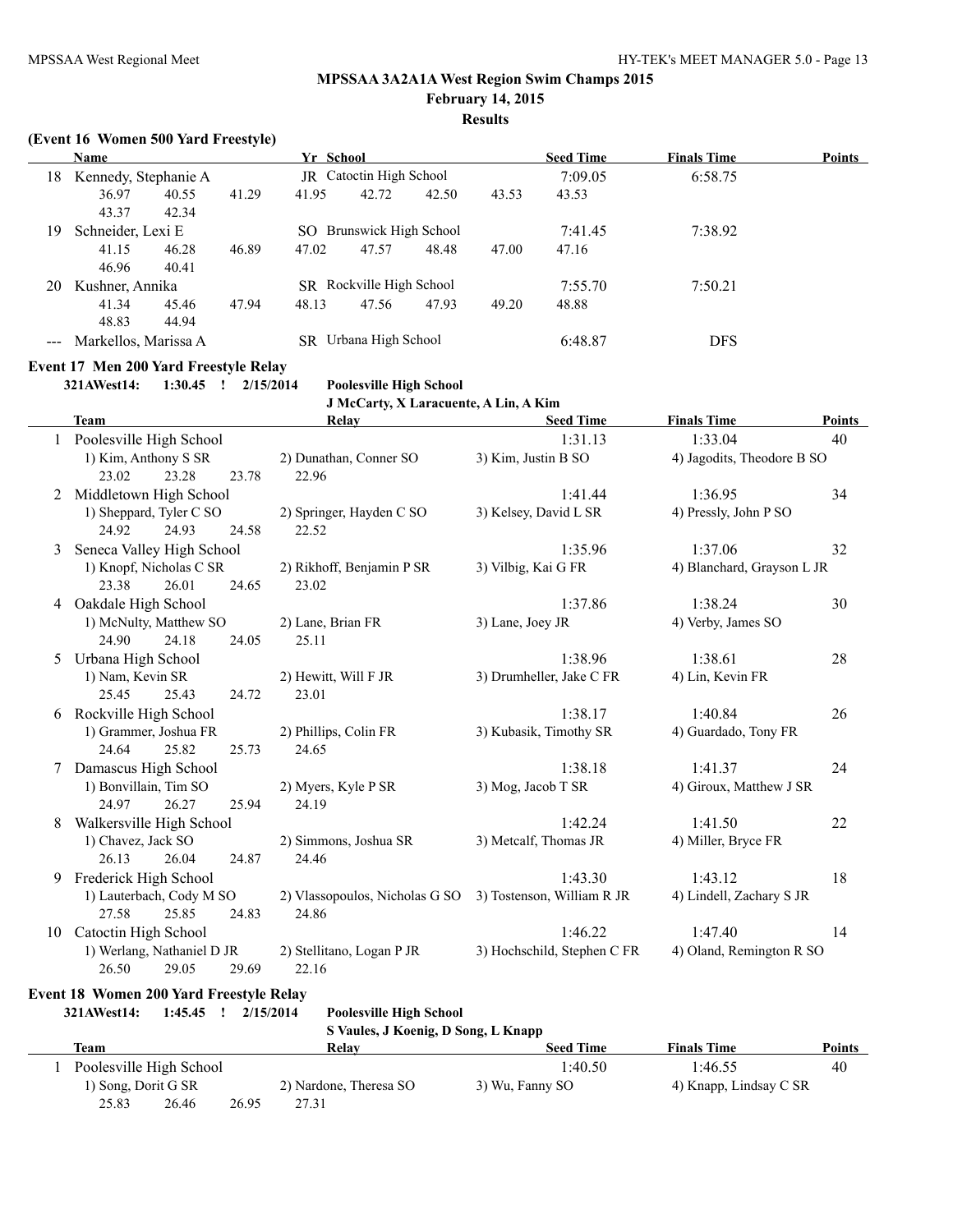**February 14, 2015**

## **Results**

#### **(Event 16 Women 500 Yard Freestyle)**

|     | <b>Name</b>          |       |                         | Yr School |                          |       |       | <b>Seed Time</b> | <b>Finals Time</b> | <b>Points</b> |
|-----|----------------------|-------|-------------------------|-----------|--------------------------|-------|-------|------------------|--------------------|---------------|
| 18  | Kennedy, Stephanie A |       | JR Catoctin High School |           |                          |       |       | 7:09.05          | 6:58.75            |               |
|     | 36.97                | 40.55 | 41.29                   | 41.95     | 42.72                    | 42.50 | 43.53 | 43.53            |                    |               |
|     | 43.37                | 42.34 |                         |           |                          |       |       |                  |                    |               |
| 19  | Schneider, Lexi E    |       |                         |           | SO Brunswick High School |       |       | 7:41.45          | 7:38.92            |               |
|     | 41.15                | 46.28 | 46.89                   | 47.02     | 47.57                    | 48.48 | 47.00 | 47.16            |                    |               |
|     | 46.96                | 40.41 |                         |           |                          |       |       |                  |                    |               |
| 20  | Kushner, Annika      |       |                         |           | SR Rockville High School |       |       | 7:55.70          | 7:50.21            |               |
|     | 41.34                | 45.46 | 47.94                   | 48.13     | 47.56                    | 47.93 | 49.20 | 48.88            |                    |               |
|     | 48.83                | 44.94 |                         |           |                          |       |       |                  |                    |               |
| --- | Markellos, Marissa A |       |                         | SR        | Urbana High School       |       |       | 6:48.87          | <b>DFS</b>         |               |

## **Event 17 Men 200 Yard Freestyle Relay**

**321AWest14: 1:30.45 ! 2/15/2014 Poolesville High School**

**J McCarty, X Laracuente, A Lin, A Kim**

|    | <b>Team</b>                |       | Relay                          | <b>Seed Time</b>            | <b>Finals Time</b>         | <b>Points</b> |
|----|----------------------------|-------|--------------------------------|-----------------------------|----------------------------|---------------|
|    | Poolesville High School    |       |                                | 1:31.13                     | 1:33.04                    | 40            |
|    | 1) Kim, Anthony S SR       |       | 2) Dunathan, Conner SO         | 3) Kim, Justin B SO         | 4) Jagodits, Theodore B SO |               |
|    | 23.28<br>23.02             | 23.78 | 22.96                          |                             |                            |               |
| 2  | Middletown High School     |       |                                | 1:41.44                     | 1:36.95                    | 34            |
|    | 1) Sheppard, Tyler C SO    |       | 2) Springer, Hayden C SO       | 3) Kelsey, David L SR       | 4) Pressly, John P SO      |               |
|    | 24.92<br>24.93             | 24.58 | 22.52                          |                             |                            |               |
| 3  | Seneca Valley High School  |       |                                | 1:35.96                     | 1:37.06                    | 32            |
|    | 1) Knopf, Nicholas C SR    |       | 2) Rikhoff, Benjamin P SR      | 3) Vilbig, Kai G FR         | 4) Blanchard, Grayson L JR |               |
|    | 23.38<br>26.01             | 24.65 | 23.02                          |                             |                            |               |
| 4  | Oakdale High School        |       |                                | 1:37.86                     | 1:38.24                    | 30            |
|    | 1) McNulty, Matthew SO     |       | 2) Lane, Brian FR              | 3) Lane, Joey JR            | 4) Verby, James SO         |               |
|    | 24.90<br>24.18             | 24.05 | 25.11                          |                             |                            |               |
| 5  | Urbana High School         |       |                                | 1:38.96                     | 1:38.61                    | 28            |
|    | 1) Nam, Kevin SR           |       | 2) Hewitt, Will F JR           | 3) Drumheller, Jake C FR    | 4) Lin, Kevin FR           |               |
|    | 25.45<br>25.43             | 24.72 | 23.01                          |                             |                            |               |
| 6  | Rockville High School      |       |                                | 1:38.17                     | 1:40.84                    | 26            |
|    | 1) Grammer, Joshua FR      |       | 2) Phillips, Colin FR          | 3) Kubasik, Timothy SR      | 4) Guardado, Tony FR       |               |
|    | 24.64<br>25.82             | 25.73 | 24.65                          |                             |                            |               |
|    | Damascus High School       |       |                                | 1:38.18                     | 1:41.37                    | 24            |
|    | 1) Bonvillain, Tim SO      |       | 2) Myers, Kyle P SR            | 3) Mog, Jacob T SR          | 4) Giroux, Matthew J SR    |               |
|    | 24.97<br>26.27             | 25.94 | 24.19                          |                             |                            |               |
| 8  | Walkersville High School   |       |                                | 1:42.24                     | 1:41.50                    | 22            |
|    | 1) Chavez, Jack SO         |       | 2) Simmons, Joshua SR          | 3) Metcalf, Thomas JR       | 4) Miller, Bryce FR        |               |
|    | 26.13<br>26.04             | 24.87 | 24.46                          |                             |                            |               |
| 9  | Frederick High School      |       |                                | 1:43.30                     | 1:43.12                    | 18            |
|    | 1) Lauterbach, Cody M SO   |       | 2) Vlassopoulos, Nicholas G SO | 3) Tostenson, William R JR  | 4) Lindell, Zachary S JR   |               |
|    | 27.58<br>25.85             | 24.83 | 24.86                          |                             |                            |               |
| 10 | Catoctin High School       |       |                                | 1:46.22                     | 1:47.40                    | 14            |
|    | 1) Werlang, Nathaniel D JR |       | 2) Stellitano, Logan P JR      | 3) Hochschild, Stephen C FR | 4) Oland, Remington R SO   |               |
|    | 26.50<br>29.05             | 29.69 | 22.16                          |                             |                            |               |

## **Event 18 Women 200 Yard Freestyle Relay**

**321AWest14: 1:45.45 ! 2/15/2014 Poolesville High School**

|                         |       | S Vaules, J Koenig, D Song, L Knapp |                  |                        |        |
|-------------------------|-------|-------------------------------------|------------------|------------------------|--------|
| Team                    |       | Relay                               | <b>Seed Time</b> | <b>Finals Time</b>     | Points |
| Poolesville High School |       |                                     | 1:40.50          | 1:46.55                | 40     |
| 1) Song, Dorit G SR     |       | 2) Nardone, Theresa SO              | 3) Wu, Fanny SO  | 4) Knapp, Lindsay C SR |        |
| 25.83<br>26.46          | 26.95 | 27.31                               |                  |                        |        |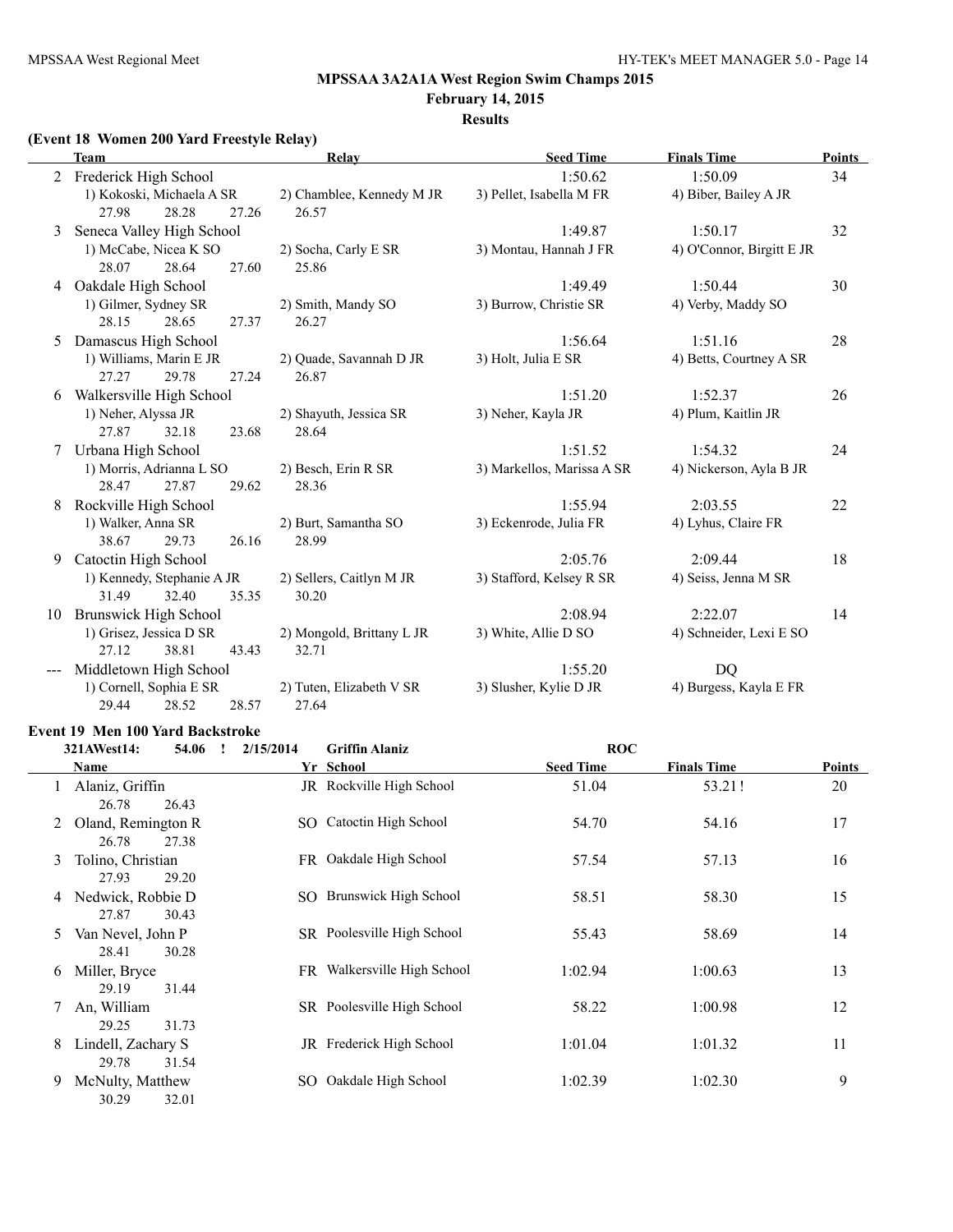#### **February 14, 2015 Results**

## **(Event 18 Women 200 Yard Freestyle Relay)**

|    | <b>Team</b>                                           | Relay                              | <b>Seed Time</b>           | <b>Finals Time</b>        | <b>Points</b> |
|----|-------------------------------------------------------|------------------------------------|----------------------------|---------------------------|---------------|
|    | Frederick High School                                 |                                    | 1:50.62                    | 1:50.09                   | 34            |
|    | 1) Kokoski, Michaela A SR<br>27.98<br>28.28<br>27.26  | 2) Chamblee, Kennedy M JR<br>26.57 | 3) Pellet, Isabella M FR   | 4) Biber, Bailey A JR     |               |
| 3  | Seneca Valley High School                             |                                    | 1:49.87                    | 1:50.17                   | 32            |
|    | 1) McCabe, Nicea K SO<br>28.64<br>28.07<br>27.60      | 2) Socha, Carly E SR<br>25.86      | 3) Montau, Hannah J FR     | 4) O'Connor, Birgitt E JR |               |
| 4  | Oakdale High School                                   |                                    | 1:49.49                    | 1:50.44                   | 30            |
|    | 1) Gilmer, Sydney SR<br>28.15<br>28.65<br>27.37       | 2) Smith, Mandy SO<br>26.27        | 3) Burrow, Christie SR     | 4) Verby, Maddy SO        |               |
| 5  | Damascus High School                                  |                                    | 1:56.64                    | 1:51.16                   | 28            |
|    | 1) Williams, Marin E JR<br>27.27<br>29.78<br>27.24    | 2) Quade, Savannah D JR<br>26.87   | 3) Holt, Julia E SR        | 4) Betts, Courtney A SR   |               |
| 6  | Walkersville High School                              |                                    | 1:51.20                    | 1:52.37                   | 26            |
|    | 1) Neher, Alyssa JR<br>27.87<br>32.18<br>23.68        | 2) Shayuth, Jessica SR<br>28.64    | 3) Neher, Kayla JR         | 4) Plum, Kaitlin JR       |               |
|    | Urbana High School                                    |                                    | 1:51.52                    | 1:54.32                   | 24            |
|    | 1) Morris, Adrianna L SO<br>28.47<br>27.87<br>29.62   | 2) Besch, Erin R SR<br>28.36       | 3) Markellos, Marissa A SR | 4) Nickerson, Ayla B JR   |               |
|    | Rockville High School                                 |                                    | 1:55.94                    | 2:03.55                   | 22            |
|    | 1) Walker, Anna SR<br>38.67<br>29.73<br>26.16         | 2) Burt, Samantha SO<br>28.99      | 3) Eckenrode, Julia FR     | 4) Lyhus, Claire FR       |               |
| 9  | Catoctin High School                                  |                                    | 2:05.76                    | 2:09.44                   | 18            |
|    | 1) Kennedy, Stephanie A JR<br>31.49<br>32.40<br>35.35 | 2) Sellers, Caitlyn M JR<br>30.20  | 3) Stafford, Kelsey R SR   | 4) Seiss, Jenna M SR      |               |
| 10 | <b>Brunswick High School</b>                          |                                    | 2:08.94                    | 2:22.07                   | 14            |
|    | 1) Grisez, Jessica D SR<br>27.12<br>38.81<br>43.43    | 2) Mongold, Brittany L JR<br>32.71 | 3) White, Allie D SO       | 4) Schneider, Lexi E SO   |               |
|    | Middletown High School                                |                                    | 1:55.20                    | <b>DQ</b>                 |               |
|    | 1) Cornell, Sophia E SR<br>29.44<br>28.52<br>28.57    | 2) Tuten, Elizabeth V SR<br>27.64  | 3) Slusher, Kylie D JR     | 4) Burgess, Kayla E FR    |               |

#### **Event 19 Men 100 Yard Backstroke**

|    | 321AWest14:<br>54.06                 | 2/15/2014 | <b>Griffin Alaniz</b>       | <b>ROC</b>       |                    |        |
|----|--------------------------------------|-----------|-----------------------------|------------------|--------------------|--------|
|    | <b>Name</b>                          |           | Yr School                   | <b>Seed Time</b> | <b>Finals Time</b> | Points |
|    | Alaniz, Griffin<br>26.43<br>26.78    |           | JR Rockville High School    | 51.04            | 53.21!             | 20     |
| 2  | Oland, Remington R<br>26.78<br>27.38 |           | SO Catoctin High School     | 54.70            | 54.16              | 17     |
| 3  | Tolino, Christian<br>27.93<br>29.20  |           | FR Oakdale High School      | 57.54            | 57.13              | 16     |
| 4  | Nedwick, Robbie D<br>27.87<br>30.43  |           | SO Brunswick High School    | 58.51            | 58.30              | 15     |
| 5. | Van Nevel, John P<br>28.41<br>30.28  |           | SR Poolesville High School  | 55.43            | 58.69              | 14     |
| 6  | Miller, Bryce<br>31.44<br>29.19      |           | FR Walkersville High School | 1:02.94          | 1:00.63            | 13     |
|    | An, William<br>29.25<br>31.73        |           | SR Poolesville High School  | 58.22            | 1:00.98            | 12     |
| 8  | Lindell, Zachary S<br>29.78<br>31.54 |           | JR Frederick High School    | 1:01.04          | 1:01.32            | 11     |
| 9  | McNulty, Matthew<br>32.01<br>30.29   |           | SO Oakdale High School      | 1:02.39          | 1:02.30            | 9      |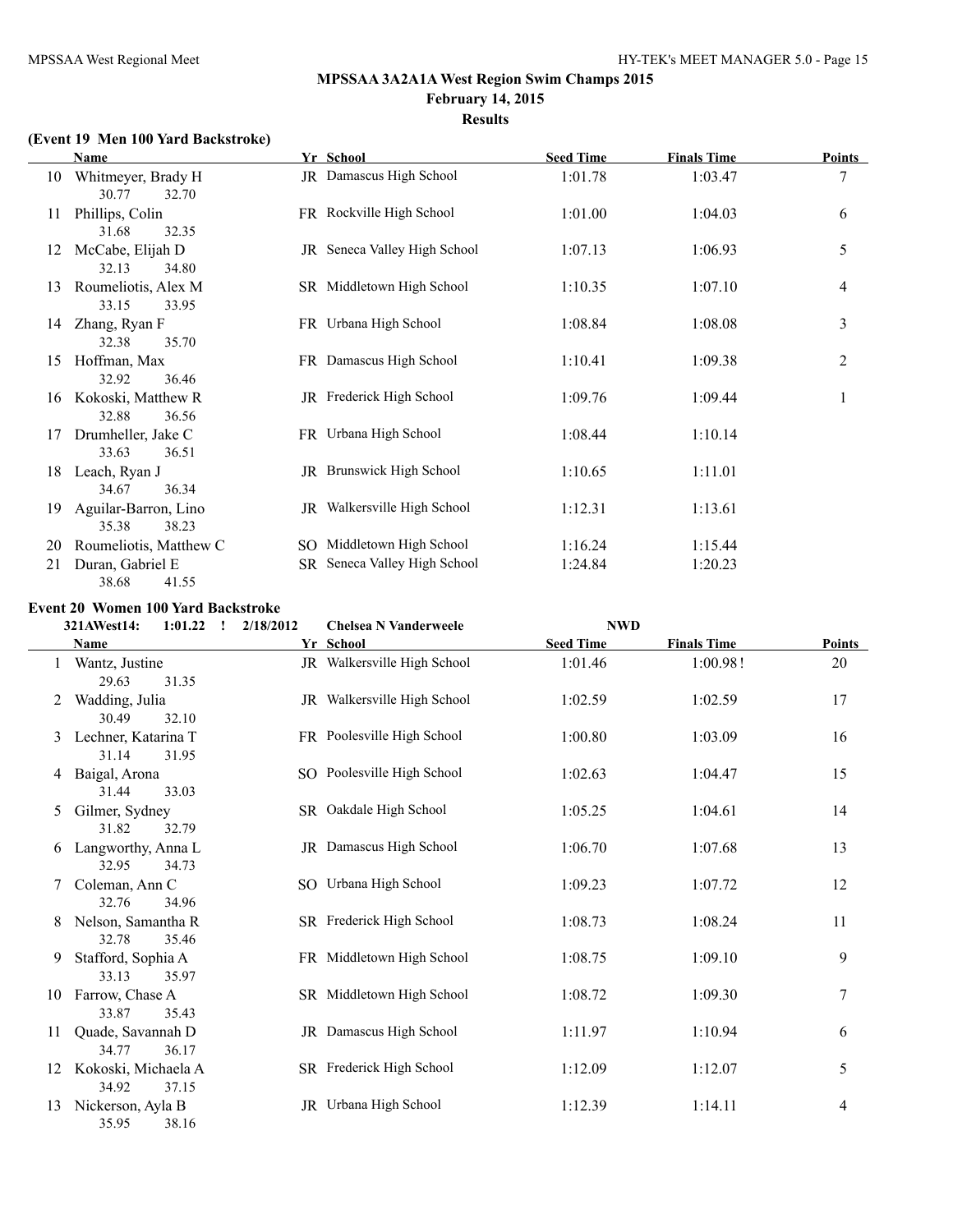#### **Results**

## **(Event 19 Men 100 Yard Backstroke)**

|    | Name                                   | Yr School                    | <b>Seed Time</b> | <b>Finals Time</b> | Points         |
|----|----------------------------------------|------------------------------|------------------|--------------------|----------------|
| 10 | Whitmeyer, Brady H<br>30.77<br>32.70   | JR Damascus High School      | 1:01.78          | 1:03.47            | 7              |
| 11 | Phillips, Colin<br>31.68<br>32.35      | FR Rockville High School     | 1:01.00          | 1:04.03            | 6              |
| 12 | McCabe, Elijah D<br>32.13<br>34.80     | JR Seneca Valley High School | 1:07.13          | 1:06.93            | 5              |
| 13 | Roumeliotis, Alex M<br>33.15<br>33.95  | SR Middletown High School    | 1:10.35          | 1:07.10            | 4              |
| 14 | Zhang, Ryan F<br>32.38<br>35.70        | FR Urbana High School        | 1:08.84          | 1:08.08            | 3              |
| 15 | Hoffman, Max<br>32.92<br>36.46         | FR Damascus High School      | 1:10.41          | 1:09.38            | $\overline{c}$ |
| 16 | Kokoski, Matthew R<br>32.88<br>36.56   | JR Frederick High School     | 1:09.76          | 1:09.44            | 1              |
| 17 | Drumheller, Jake C<br>33.63<br>36.51   | FR Urbana High School        | 1:08.44          | 1:10.14            |                |
| 18 | Leach, Ryan J<br>34.67<br>36.34        | JR Brunswick High School     | 1:10.65          | 1:11.01            |                |
| 19 | Aguilar-Barron, Lino<br>35.38<br>38.23 | JR Walkersville High School  | 1:12.31          | 1:13.61            |                |
| 20 | Roumeliotis, Matthew C                 | SO Middletown High School    | 1:16.24          | 1:15.44            |                |
| 21 | Duran, Gabriel E<br>38.68<br>41.55     | SR Seneca Valley High School | 1:24.84          | 1:20.23            |                |

#### **Event 20 Women 100 Yard Backstroke**

|    | 321AWest14:                  | 1:01.22<br>$\mathbf{I}$ | 2/18/2012 | <b>Chelsea N Vanderweele</b> | <b>NWD</b>       |                    |               |
|----|------------------------------|-------------------------|-----------|------------------------------|------------------|--------------------|---------------|
|    | Name                         |                         |           | Yr School                    | <b>Seed Time</b> | <b>Finals Time</b> | <b>Points</b> |
| 1  | Wantz, Justine<br>29.63      | 31.35                   |           | JR Walkersville High School  | 1:01.46          | 1:00.98!           | 20            |
|    | Wadding, Julia<br>30.49      | 32.10                   |           | JR Walkersville High School  | 1:02.59          | 1:02.59            | 17            |
| 3  | Lechner, Katarina T<br>31.14 | 31.95                   |           | FR Poolesville High School   | 1:00.80          | 1:03.09            | 16            |
| 4  | Baigal, Arona<br>31.44       | 33.03                   |           | SO Poolesville High School   | 1:02.63          | 1:04.47            | 15            |
| 5  | Gilmer, Sydney<br>31.82      | 32.79                   |           | SR Oakdale High School       | 1:05.25          | 1:04.61            | 14            |
| 6  | Langworthy, Anna L<br>32.95  | 34.73                   |           | JR Damascus High School      | 1:06.70          | 1:07.68            | 13            |
|    | Coleman, Ann C<br>32.76      | 34.96                   |           | SO Urbana High School        | 1:09.23          | 1:07.72            | 12            |
| 8  | Nelson, Samantha R<br>32.78  | 35.46                   |           | SR Frederick High School     | 1:08.73          | 1:08.24            | 11            |
| 9  | Stafford, Sophia A<br>33.13  | 35.97                   |           | FR Middletown High School    | 1:08.75          | 1:09.10            | 9             |
| 10 | Farrow, Chase A<br>33.87     | 35.43                   |           | SR Middletown High School    | 1:08.72          | 1:09.30            | $\sqrt{ }$    |
| 11 | Quade, Savannah D<br>34.77   | 36.17                   |           | JR Damascus High School      | 1:11.97          | 1:10.94            | 6             |
| 12 | Kokoski, Michaela A<br>34.92 | 37.15                   |           | SR Frederick High School     | 1:12.09          | 1:12.07            | 5             |
| 13 | Nickerson, Ayla B<br>35.95   | 38.16                   |           | JR Urbana High School        | 1:12.39          | 1:14.11            | 4             |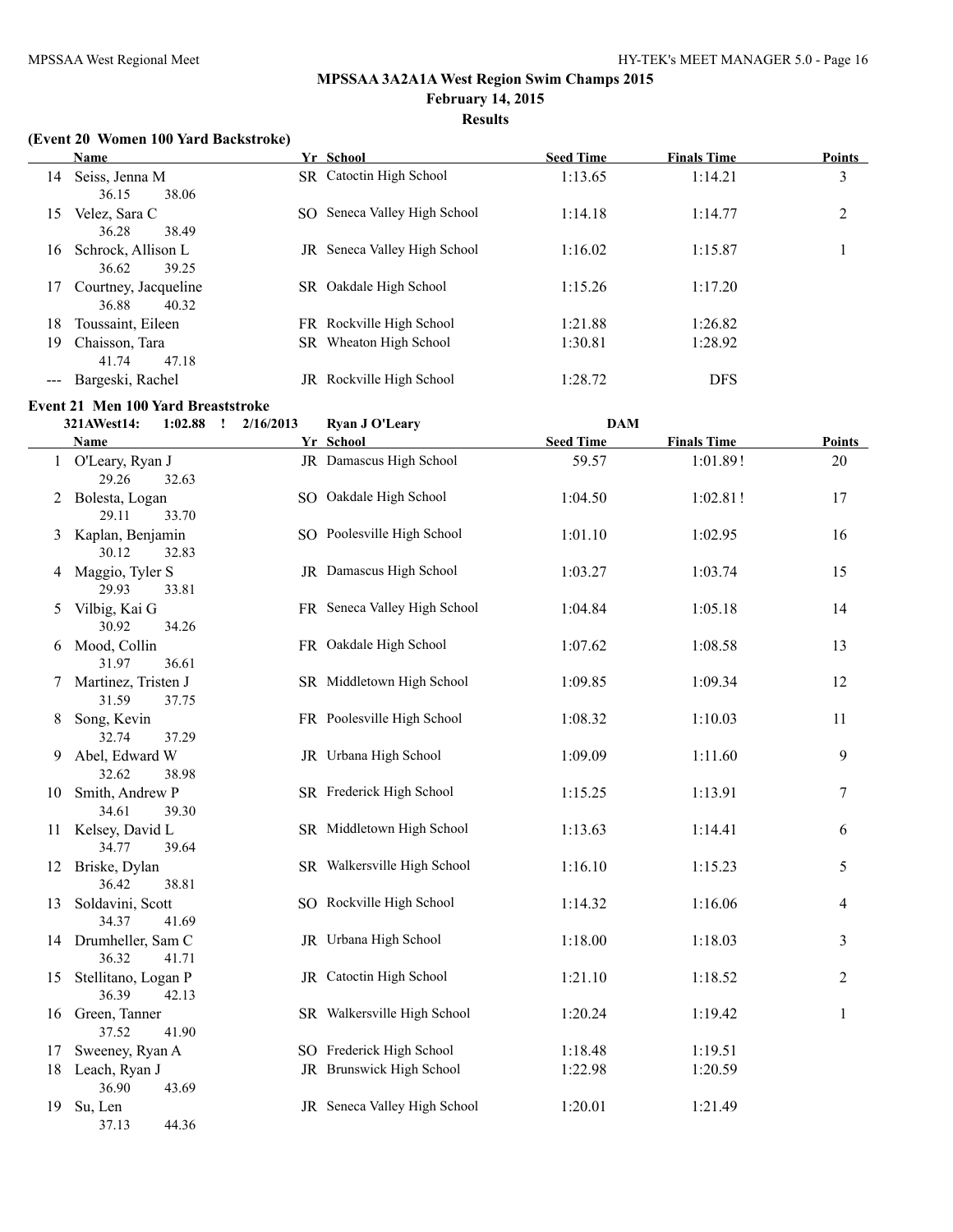## **Results**

#### **(Event 20 Women 100 Yard Backstroke)**

|    | <b>Name</b>                            |    | Yr School                           | <b>Seed Time</b> | <b>Finals Time</b> | Points |
|----|----------------------------------------|----|-------------------------------------|------------------|--------------------|--------|
| 14 | Seiss, Jenna M<br>38.06<br>36.15       |    | SR Catoctin High School             | 1:13.65          | 1:14.21            | 3      |
| 15 | Velez, Sara C<br>36.28<br>38.49        |    | SO Seneca Valley High School        | 1:14.18          | 1:14.77            | 2      |
| 16 | Schrock, Allison L<br>36.62<br>39.25   |    | <b>JR</b> Seneca Valley High School | 1:16.02          | 1:15.87            |        |
| 17 | Courtney, Jacqueline<br>40.32<br>36.88 |    | SR Oakdale High School              | 1:15.26          | 1:17.20            |        |
| 18 | Toussaint, Eileen                      |    | FR Rockville High School            | 1:21.88          | 1:26.82            |        |
| 19 | Chaisson, Tara<br>47.18<br>41.74       |    | SR Wheaton High School              | 1:30.81          | 1:28.92            |        |
|    | Bargeski, Rachel                       | JR | Rockville High School               | 1:28.72          | <b>DFS</b>         |        |

# **Event 21 Men 100 Yard Breaststroke**<br>221 AWest 14: **1:02.88** 1 2/16/20

|    | 321AWest14:                              | $1:02.88$ $\qquad$ $2/16/2013$ | <b>Ryan J O'Leary</b>        | <b>DAM</b>       |                    |                |
|----|------------------------------------------|--------------------------------|------------------------------|------------------|--------------------|----------------|
|    | Name                                     |                                | Yr School                    | <b>Seed Time</b> | <b>Finals Time</b> | <b>Points</b>  |
|    | 1 O'Leary, Ryan J<br>29.26<br>32.63      |                                | JR Damascus High School      | 59.57            | 1:01.89!           | 20             |
|    | 2 Bolesta, Logan<br>29.11<br>33.70       |                                | SO Oakdale High School       | 1:04.50          | 1:02.81!           | 17             |
|    | 3 Kaplan, Benjamin<br>30.12<br>32.83     |                                | SO Poolesville High School   | 1:01.10          | 1:02.95            | 16             |
| 4  | Maggio, Tyler S<br>29.93<br>33.81        |                                | JR Damascus High School      | 1:03.27          | 1:03.74            | 15             |
| 5  | Vilbig, Kai G<br>30.92<br>34.26          |                                | FR Seneca Valley High School | 1:04.84          | 1:05.18            | 14             |
|    | 6 Mood, Collin<br>31.97<br>36.61         |                                | FR Oakdale High School       | 1:07.62          | 1:08.58            | 13             |
|    | 7 Martinez, Tristen J<br>31.59<br>37.75  |                                | SR Middletown High School    | 1:09.85          | 1:09.34            | 12             |
| 8. | Song, Kevin<br>32.74<br>37.29            |                                | FR Poolesville High School   | 1:08.32          | 1:10.03            | 11             |
| 9. | Abel, Edward W<br>32.62<br>38.98         |                                | JR Urbana High School        | 1:09.09          | 1:11.60            | 9              |
|    | 10 Smith, Andrew P<br>34.61<br>39.30     |                                | SR Frederick High School     | 1:15.25          | 1:13.91            | $\tau$         |
|    | 11 Kelsey, David L<br>34.77<br>39.64     |                                | SR Middletown High School    | 1:13.63          | 1:14.41            | 6              |
|    | 12 Briske, Dylan<br>36.42<br>38.81       |                                | SR Walkersville High School  | 1:16.10          | 1:15.23            | 5              |
|    | 13 Soldavini, Scott<br>34.37<br>41.69    |                                | SO Rockville High School     | 1:14.32          | 1:16.06            | $\overline{4}$ |
|    | 14 Drumheller, Sam C<br>36.32<br>41.71   |                                | JR Urbana High School        | 1:18.00          | 1:18.03            | $\mathfrak{Z}$ |
|    | 15 Stellitano, Logan P<br>36.39<br>42.13 |                                | JR Catoctin High School      | 1:21.10          | 1:18.52            | $\overline{c}$ |
|    | 16 Green, Tanner<br>41.90<br>37.52       |                                | SR Walkersville High School  | 1:20.24          | 1:19.42            | $\mathbf{1}$   |
| 17 | Sweeney, Ryan A                          |                                | SO Frederick High School     | 1:18.48          | 1:19.51            |                |
|    | 18 Leach, Ryan J<br>43.69<br>36.90       |                                | JR Brunswick High School     | 1:22.98          | 1:20.59            |                |
|    | 19 Su, Len<br>44.36<br>37.13             |                                | JR Seneca Valley High School | 1:20.01          | 1:21.49            |                |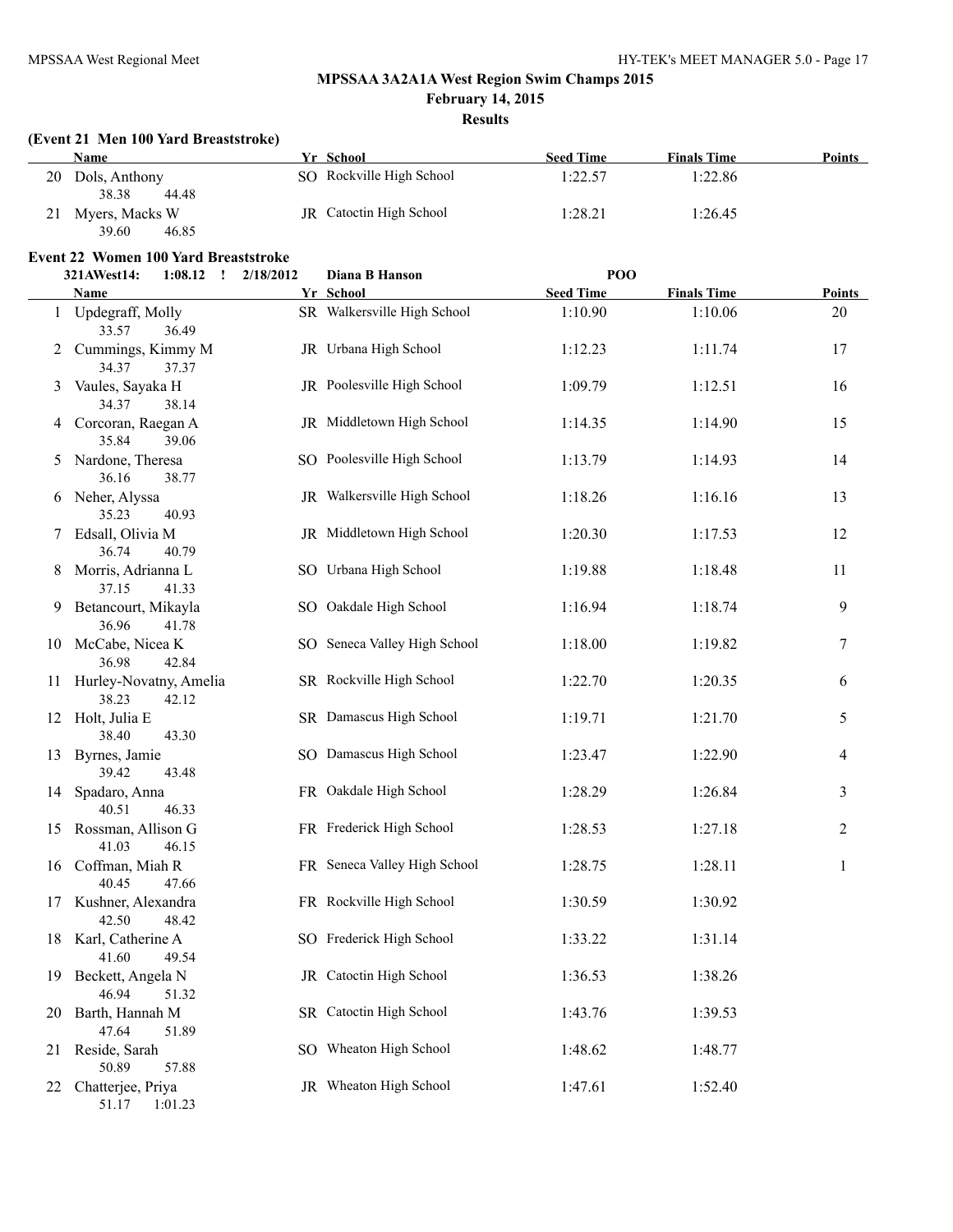**February 14, 2015**

## **Results**

#### **(Event 21 Men 100 Yard Breaststroke)**

| Name              | Yr School                      | <b>Seed Time</b> | <b>Finals Time</b><br><b>Points</b> |  |
|-------------------|--------------------------------|------------------|-------------------------------------|--|
| 20 Dols, Anthony  | SO Rockville High School       | 1:22.57          | 1:22.86                             |  |
| 38.38<br>44.48    |                                |                  |                                     |  |
| 21 Myers, Macks W | <b>JR</b> Catoctin High School | 1:28.21          | 1:26.45                             |  |
| 39.60<br>46.85    |                                |                  |                                     |  |

# **Event 22 Women 100 Yard Breaststroke**<br>321 AWest 14: **1.08 12 1.08/2012**

|    | 321AWest14:<br>$1:08.12$ : $2/18/2012$                  | Diana B Hanson               | POO              |                    |                |
|----|---------------------------------------------------------|------------------------------|------------------|--------------------|----------------|
|    | Name                                                    | Yr School                    | <b>Seed Time</b> | <b>Finals Time</b> | <b>Points</b>  |
|    | 1 Updegraff, Molly<br>33.57<br>36.49                    | SR Walkersville High School  | 1:10.90          | 1:10.06            | 20             |
|    | 2 Cummings, Kimmy M<br>34.37<br>37.37                   | JR Urbana High School        | 1:12.23          | 1:11.74            | 17             |
|    | 3 Vaules, Sayaka H<br>34.37<br>38.14                    | JR Poolesville High School   | 1:09.79          | 1:12.51            | 16             |
|    | 4 Corcoran, Raegan A<br>39.06<br>35.84                  | JR Middletown High School    | 1:14.35          | 1:14.90            | 15             |
|    | 5 Nardone, Theresa<br>36.16<br>38.77                    | SO Poolesville High School   | 1:13.79          | 1:14.93            | 14             |
|    | 6 Neher, Alyssa<br>35.23<br>40.93                       | JR Walkersville High School  | 1:18.26          | 1:16.16            | 13             |
|    | 7 Edsall, Olivia M<br>36.74<br>40.79                    | JR Middletown High School    | 1:20.30          | 1:17.53            | 12             |
| 8  | Morris, Adrianna L<br>37.15<br>41.33                    | SO Urbana High School        | 1:19.88          | 1:18.48            | 11             |
| 9  | Betancourt, Mikayla<br>36.96<br>41.78                   | SO Oakdale High School       | 1:16.94          | 1:18.74            | 9              |
|    | 10 McCabe, Nicea K<br>36.98<br>42.84                    | SO Seneca Valley High School | 1:18.00          | 1:19.82            | 7              |
| 11 | Hurley-Novatny, Amelia<br>38.23<br>42.12                | SR Rockville High School     | 1:22.70          | 1:20.35            | 6              |
|    | 12 Holt, Julia E<br>38.40<br>43.30                      | SR Damascus High School      | 1:19.71          | 1:21.70            | 5              |
|    | 13 Byrnes, Jamie<br>39.42<br>43.48                      | SO Damascus High School      | 1:23.47          | 1:22.90            | $\overline{4}$ |
|    | 14 Spadaro, Anna<br>46.33<br>40.51                      | FR Oakdale High School       | 1:28.29          | 1:26.84            | 3              |
|    | 15 Rossman, Allison G<br>41.03<br>46.15                 | FR Frederick High School     | 1:28.53          | 1:27.18            | $\overline{c}$ |
|    | 16 Coffman, Miah R<br>47.66                             | FR Seneca Valley High School | 1:28.75          | 1:28.11            | $\mathbf{1}$   |
| 17 | 40.45<br>Kushner, Alexandra                             | FR Rockville High School     | 1:30.59          | 1:30.92            |                |
| 18 | 42.50<br>48.42<br>Karl, Catherine A<br>41.60<br>49.54   | SO Frederick High School     | 1:33.22          | 1:31.14            |                |
| 19 | Beckett, Angela N<br>46.94<br>51.32                     | JR Catoctin High School      | 1:36.53          | 1:38.26            |                |
| 20 | Barth, Hannah M                                         | SR Catoctin High School      | 1:43.76          | 1:39.53            |                |
| 21 | 47.64<br>51.89<br>Reside, Sarah                         | SO Wheaton High School       | 1:48.62          | 1:48.77            |                |
| 22 | 50.89<br>57.88<br>Chatterjee, Priya<br>51.17<br>1:01.23 | JR Wheaton High School       | 1:47.61          | 1:52.40            |                |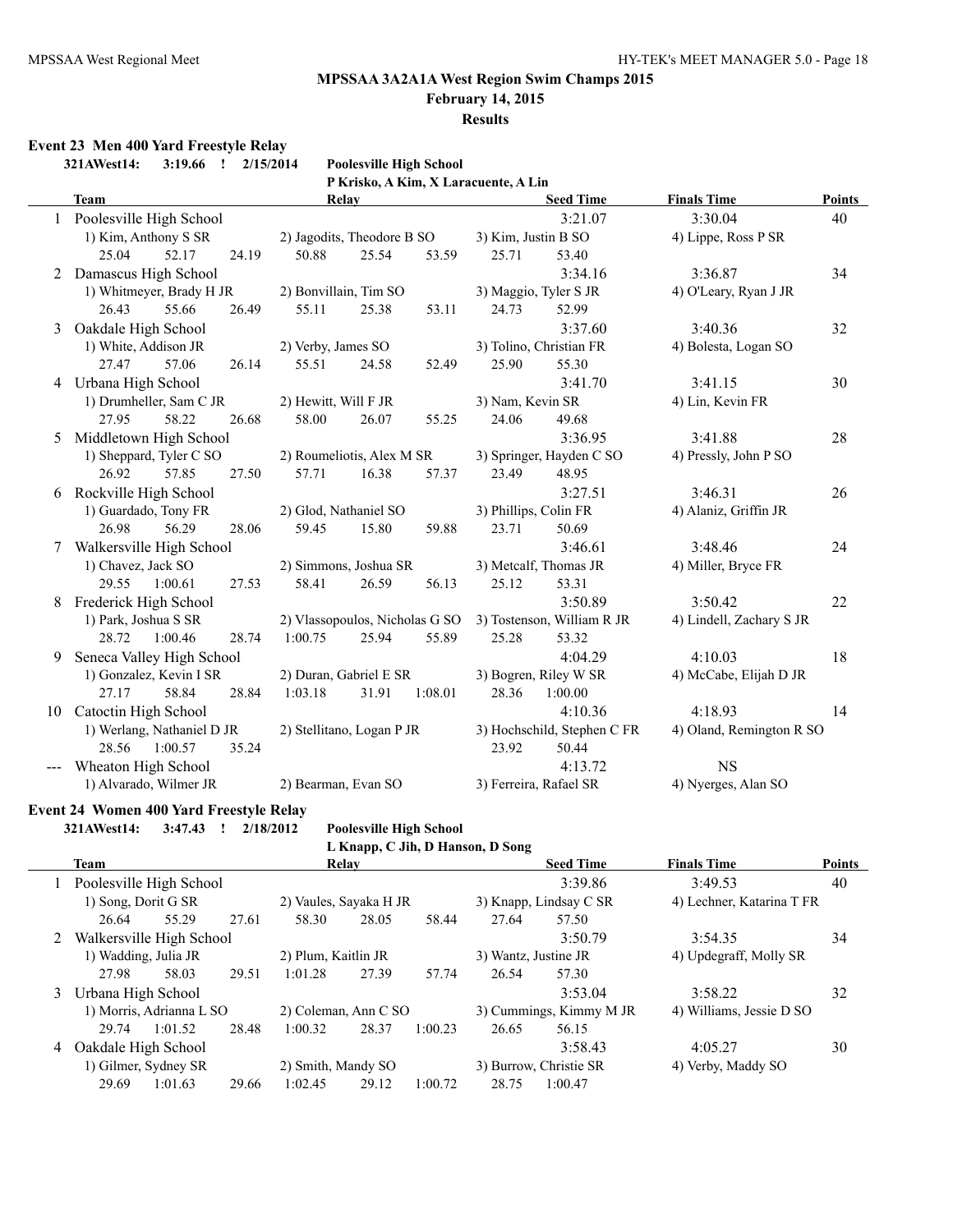## **February 14, 2015**

**Results**

## **Event 23 Men 400 Yard Freestyle Relay**

|    | 321AWest14:<br>$3:19.66$ ! | <b>Poolesville High School</b><br>2/15/2014 |                             |                                     |
|----|----------------------------|---------------------------------------------|-----------------------------|-------------------------------------|
|    |                            | P Krisko, A Kim, X Laracuente, A Lin        |                             |                                     |
|    | <b>Team</b>                | Relay                                       | <b>Seed Time</b>            | <b>Finals Time</b><br><b>Points</b> |
|    | 1 Poolesville High School  |                                             | 3:21.07                     | 3:30.04<br>40                       |
|    | 1) Kim, Anthony S SR       | 2) Jagodits, Theodore B SO                  | 3) Kim, Justin B SO         | 4) Lippe, Ross P SR                 |
|    | 52.17<br>25.04<br>24.19    | 50.88<br>25.54<br>53.59                     | 25.71<br>53.40              |                                     |
| 2  | Damascus High School       |                                             | 3:34.16                     | 3:36.87<br>34                       |
|    | 1) Whitmeyer, Brady H JR   | 2) Bonvillain, Tim SO                       | 3) Maggio, Tyler S JR       | 4) O'Leary, Ryan J JR               |
|    | 26.43<br>55.66<br>26.49    | 55.11<br>25.38<br>53.11                     | 24.73<br>52.99              |                                     |
| 3  | Oakdale High School        |                                             | 3:37.60                     | 3:40.36<br>32                       |
|    | 1) White, Addison JR       | 2) Verby, James SO                          | 3) Tolino, Christian FR     | 4) Bolesta, Logan SO                |
|    | 27.47<br>57.06<br>26.14    | 55.51<br>24.58<br>52.49                     | 25.90<br>55.30              |                                     |
|    | 4 Urbana High School       |                                             | 3:41.70                     | 3:41.15<br>30                       |
|    | 1) Drumheller, Sam C JR    | 2) Hewitt, Will F JR                        | 3) Nam, Kevin SR            | 4) Lin, Kevin FR                    |
|    | 27.95<br>58.22<br>26.68    | 58.00<br>26.07<br>55.25                     | 24.06<br>49.68              |                                     |
| 5  | Middletown High School     |                                             | 3:36.95                     | 28<br>3:41.88                       |
|    | 1) Sheppard, Tyler C SO    | 2) Roumeliotis, Alex M SR                   | 3) Springer, Hayden C SO    | 4) Pressly, John P SO               |
|    | 26.92<br>57.85<br>27.50    | 16.38<br>57.71<br>57.37                     | 23.49<br>48.95              |                                     |
| 6  | Rockville High School      |                                             | 3:27.51                     | 3:46.31<br>26                       |
|    | 1) Guardado, Tony FR       | 2) Glod, Nathaniel SO                       | 3) Phillips, Colin FR       | 4) Alaniz, Griffin JR               |
|    | 26.98<br>56.29<br>28.06    | 59.45<br>15.80<br>59.88                     | 23.71<br>50.69              |                                     |
|    | 7 Walkersville High School |                                             | 3:46.61                     | 3:48.46<br>24                       |
|    | 1) Chavez, Jack SO         | 2) Simmons, Joshua SR                       | 3) Metcalf, Thomas JR       | 4) Miller, Bryce FR                 |
|    | 1:00.61<br>27.53<br>29.55  | 26.59<br>58.41<br>56.13                     | 25.12<br>53.31              |                                     |
|    | Frederick High School      |                                             | 3:50.89                     | 3:50.42<br>22                       |
|    | 1) Park, Joshua S SR       | 2) Vlassopoulos, Nicholas G SO              | 3) Tostenson, William R JR  | 4) Lindell, Zachary S JR            |
|    | 28.72<br>1:00.46<br>28.74  | 1:00.75<br>25.94<br>55.89                   | 25.28<br>53.32              |                                     |
| 9  | Seneca Valley High School  |                                             | 4:04.29                     | 4:10.03<br>18                       |
|    | 1) Gonzalez, Kevin I SR    | 2) Duran, Gabriel E SR                      | 3) Bogren, Riley W SR       | 4) McCabe, Elijah D JR              |
|    | 27.17<br>58.84<br>28.84    | 1:03.18<br>31.91<br>1:08.01                 | 1:00.00<br>28.36            |                                     |
| 10 | Catoctin High School       |                                             | 4:10.36                     | 4:18.93<br>14                       |
|    | 1) Werlang, Nathaniel D JR | 2) Stellitano, Logan P JR                   | 3) Hochschild, Stephen C FR | 4) Oland, Remington R SO            |
|    | 28.56<br>1:00.57<br>35.24  |                                             | 50.44<br>23.92              |                                     |
|    | Wheaton High School        |                                             | 4:13.72                     | <b>NS</b>                           |
|    | 1) Alvarado, Wilmer JR     | 2) Bearman, Evan SO                         | 3) Ferreira, Rafael SR      | 4) Nyerges, Alan SO                 |

#### **Event 24 Women 400 Yard Freestyle Relay**

**321AWest14: 3:47.43 ! 2/18/2012 Poolesville High School**

**L Knapp, C Lip, D Hanson, D Song** 

|  | L Knapp, C Jin, D Hanson, D Song |  |
|--|----------------------------------|--|
|  |                                  |  |

|   | Team                       |                          |       | <b>Relay</b>           |                    | <b>Seed Time</b>        |                        | <b>Finals Time</b>        | <b>Points</b>          |    |
|---|----------------------------|--------------------------|-------|------------------------|--------------------|-------------------------|------------------------|---------------------------|------------------------|----|
|   | 1 Poolesville High School  |                          |       |                        |                    |                         |                        | 3:39.86                   | 3:49.53                | 40 |
|   | 1) Song, Dorit G SR        |                          |       | 2) Vaules, Sayaka H JR |                    |                         | 3) Knapp, Lindsay C SR | 4) Lechner, Katarina T FR |                        |    |
|   | 26.64                      | 55.29                    | 27.61 | 58.30                  | 28.05              | 58.44                   | 27.64                  | 57.50                     |                        |    |
|   | 2 Walkersville High School |                          |       |                        |                    |                         |                        | 3:50.79                   | 3:54.35                | 34 |
|   | 1) Wadding, Julia JR       |                          |       | 2) Plum, Kaitlin JR    |                    |                         | 3) Wantz, Justine JR   |                           | 4) Updegraff, Molly SR |    |
|   | 27.98                      | 58.03                    | 29.51 | 1:01.28                | 27.39              | 57.74                   | 26.54                  | 57.30                     |                        |    |
|   | 3 Urbana High School       |                          |       |                        |                    |                         |                        | 3:53.04                   | 3:58.22                | 32 |
|   |                            | 1) Morris, Adrianna L SO |       | 2) Coleman, Ann C SO   |                    | 3) Cummings, Kimmy M JR |                        | 4) Williams, Jessie D SO  |                        |    |
|   | 29.74                      | 1:01.52                  | 28.48 | 1:00.32                | 28.37              | 1:00.23                 | 26.65                  | 56.15                     |                        |    |
| 4 | Oakdale High School        |                          |       |                        |                    |                         |                        | 3:58.43                   | 4:05.27                | 30 |
|   | 1) Gilmer, Sydney SR       |                          |       |                        | 2) Smith, Mandy SO |                         |                        | 3) Burrow, Christie SR    | 4) Verby, Maddy SO     |    |
|   | 29.69                      | 1:01.63                  | 29.66 | 1:02.45                | 29.12              | 1:00.72                 | 28.75                  | 1:00.47                   |                        |    |